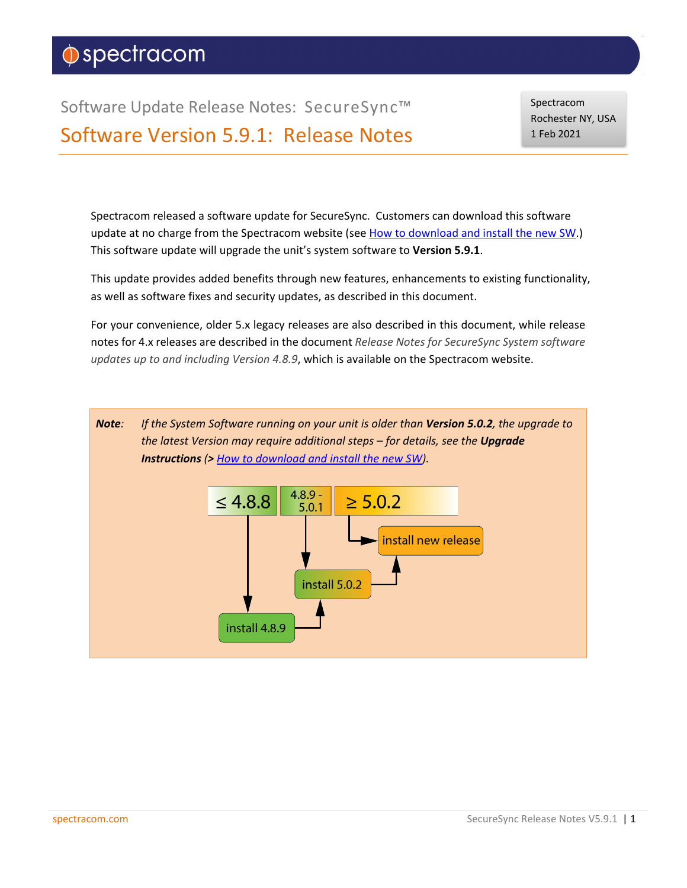# $\Diamond$ spectracom

Software Update Release Notes: SecureSync™ Software Version 5.9.1: Release Notes Spectracom Rochester NY, USA 1 Feb 2021

Spectracom released a software update for SecureSync. Customers can download this software update at no charge from the Spectracom website (see [How to download and install the new SW.](#page-63-0)) This software update will upgrade the unit's system software to **Version 5.9.1**.

This update provides added benefits through new features, enhancements to existing functionality, as well as software fixes and security updates, as described in this document.

For your convenience, older 5.x legacy releases are also described in this document, while release notes for 4.x releases are described in the document *Release Notes for SecureSync System software updates up to and including Version 4.8.9*, which is available on the Spectracom website.

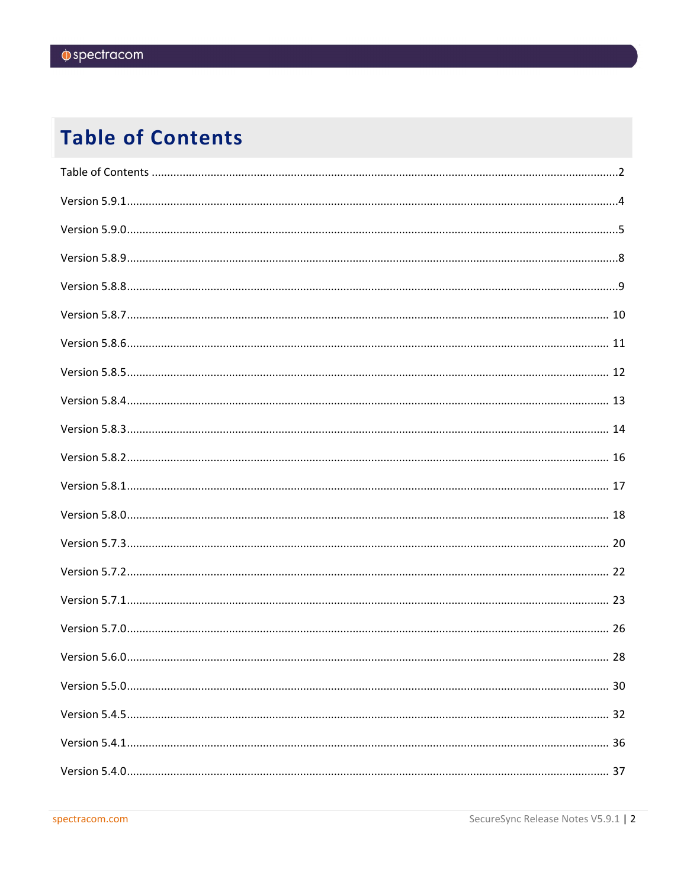# <span id="page-1-0"></span>**Table of Contents**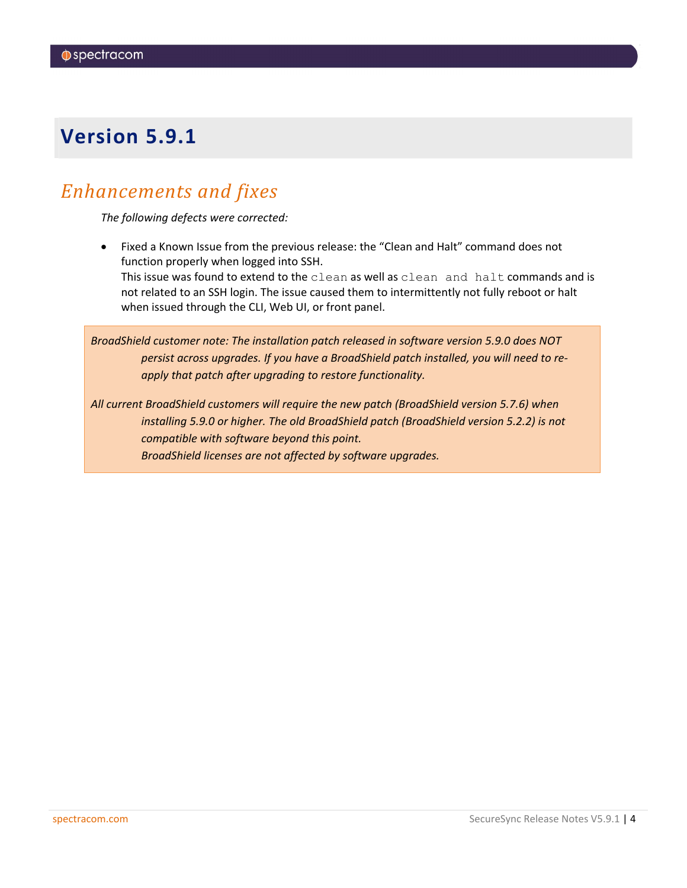### <span id="page-3-0"></span>*Enhancements and fixes*

*The following defects were corrected:*

• Fixed a Known Issue from the previous release: the "Clean and Halt" command does not function properly when logged into SSH. This issue was found to extend to the clean as well as clean and halt commands and is not related to an SSH login. The issue caused them to intermittently not fully reboot or halt when issued through the CLI, Web UI, or front panel.

*BroadShield customer note: The installation patch released in software version 5.9.0 does NOT persist across upgrades. If you have a BroadShield patch installed, you will need to reapply that patch after upgrading to restore functionality.*

*All current BroadShield customers will require the new patch (BroadShield version 5.7.6) when installing 5.9.0 or higher. The old BroadShield patch (BroadShield version 5.2.2) is not compatible with software beyond this point. BroadShield licenses are not affected by software upgrades.*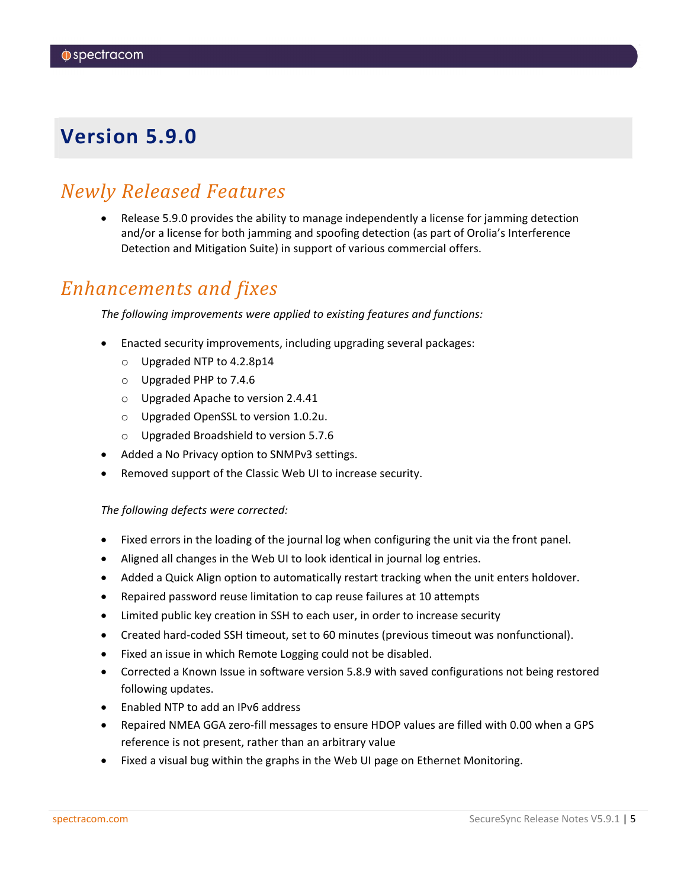### <span id="page-4-0"></span>*Newly Released Features*

• Release 5.9.0 provides the ability to manage independently a license for jamming detection and/or a license for both jamming and spoofing detection (as part of Orolia's Interference Detection and Mitigation Suite) in support of various commercial offers.

### *Enhancements and fixes*

*The following improvements were applied to existing features and functions:*

- Enacted security improvements, including upgrading several packages:
	- o Upgraded NTP to 4.2.8p14
	- o Upgraded PHP to 7.4.6
	- o Upgraded Apache to version 2.4.41
	- o Upgraded OpenSSL to version 1.0.2u.
	- o Upgraded Broadshield to version 5.7.6
- Added a No Privacy option to SNMPv3 settings.
- Removed support of the Classic Web UI to increase security.

#### *The following defects were corrected:*

- Fixed errors in the loading of the journal log when configuring the unit via the front panel.
- Aligned all changes in the Web UI to look identical in journal log entries.
- Added a Quick Align option to automatically restart tracking when the unit enters holdover.
- Repaired password reuse limitation to cap reuse failures at 10 attempts
- Limited public key creation in SSH to each user, in order to increase security
- Created hard-coded SSH timeout, set to 60 minutes (previous timeout was nonfunctional).
- Fixed an issue in which Remote Logging could not be disabled.
- Corrected a Known Issue in software version 5.8.9 with saved configurations not being restored following updates.
- Enabled NTP to add an IPv6 address
- Repaired NMEA GGA zero-fill messages to ensure HDOP values are filled with 0.00 when a GPS reference is not present, rather than an arbitrary value
- Fixed a visual bug within the graphs in the Web UI page on Ethernet Monitoring.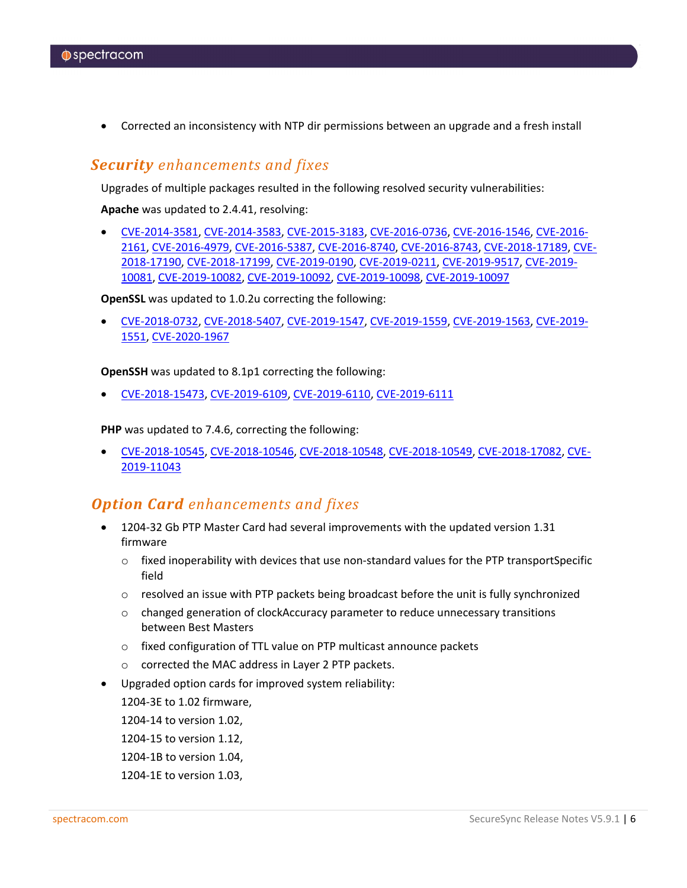• Corrected an inconsistency with NTP dir permissions between an upgrade and a fresh install

#### *Security enhancements and fixes*

Upgrades of multiple packages resulted in the following resolved security vulnerabilities:

**Apache** was updated to 2.4.41, resolving:

• [CVE-2014-3581,](https://nvd.nist.gov/vuln/detail/CVE-2014-3581) [CVE-2014-3583,](https://nvd.nist.gov/vuln/detail/CVE-2014-3583) [CVE-2015-3183,](https://nvd.nist.gov/vuln/detail/CVE-2015-3183) [CVE-2016-0736,](https://nvd.nist.gov/vuln/detail/CVE-2016-0736) [CVE-2016-1546,](https://nvd.nist.gov/vuln/detail/CVE-2016-1546) [CVE-2016-](https://nvd.nist.gov/vuln/detail/CVE-2016-2161) [2161,](https://nvd.nist.gov/vuln/detail/CVE-2016-2161) [CVE-2016-4979,](https://nvd.nist.gov/vuln/detail/CVE-2016-4979) [CVE-2016-5387,](https://nvd.nist.gov/vuln/detail/CVE-2016-5387) [CVE-2016-8740,](https://nvd.nist.gov/vuln/detail/CVE-2016-8740) [CVE-2016-8743,](https://nvd.nist.gov/vuln/detail/CVE-2016-8743) [CVE-2018-17189,](https://nvd.nist.gov/vuln/detail/CVE-2018-17189) [CVE-](https://nvd.nist.gov/vuln/detail/CVE-2018-17190)[2018-17190,](https://nvd.nist.gov/vuln/detail/CVE-2018-17190) [CVE-2018-17199,](https://nvd.nist.gov/vuln/detail/CVE-2018-17199) [CVE-2019-0190,](https://nvd.nist.gov/vuln/detail/CVE-2019-0190) [CVE-2019-0211,](https://nvd.nist.gov/vuln/detail/CVE-2019-0211) [CVE-2019-9517,](https://nvd.nist.gov/vuln/detail/CVE-2019-9517) [CVE-2019-](https://nvd.nist.gov/vuln/detail/CVE-2019-10081) [10081,](https://nvd.nist.gov/vuln/detail/CVE-2019-10081) [CVE-2019-10082,](https://nvd.nist.gov/vuln/detail/CVE-2019-10082) [CVE-2019-10092,](https://nvd.nist.gov/vuln/detail/CVE-2019-10092) [CVE-2019-10098,](https://nvd.nist.gov/vuln/detail/CVE-2019-10098) [CVE-2019-10097](https://nvd.nist.gov/vuln/detail/CVE-2019-10097)

**OpenSSL** was updated to 1.0.2u correcting the following:

• [CVE-2018-0732,](https://nvd.nist.gov/vuln/detail/CVE-2018-0732) [CVE-2018-5407,](https://nvd.nist.gov/vuln/detail/CVE-2018-5407) [CVE-2019-1547,](https://nvd.nist.gov/vuln/detail/CVE-2019-1547) [CVE-2019-1559,](https://nvd.nist.gov/vuln/detail/CVE-2019-1559) [CVE-2019-1563,](https://nvd.nist.gov/vuln/detail/CVE-2019-1563) [CVE-2019-](https://nvd.nist.gov/vuln/detail/CVE-2019-1551) [1551,](https://nvd.nist.gov/vuln/detail/CVE-2019-1551) [CVE-2020-1967](https://nvd.nist.gov/vuln/detail/CVE-2020-1967)

**OpenSSH** was updated to 8.1p1 correcting the following:

• [CVE-2018-15473,](https://nvd.nist.gov/vuln/detail/CVE-2018-15473) [CVE-2019-6109,](https://nvd.nist.gov/vuln/detail/CVE-2019-6109) [CVE-2019-6110,](https://nvd.nist.gov/vuln/detail/CVE-2019-6110) [CVE-2019-6111](https://nvd.nist.gov/vuln/detail/CVE-2019-6111)

**PHP** was updated to 7.4.6, correcting the following:

• [CVE-2018-10545,](https://nvd.nist.gov/vuln/detail/CVE-2018-10545) [CVE-2018-10546,](https://nvd.nist.gov/vuln/detail/CVE-2018-10546) [CVE-2018-10548,](https://nvd.nist.gov/vuln/detail/CVE-2018-10548) [CVE-2018-10549,](https://nvd.nist.gov/vuln/detail/CVE-2018-10549) [CVE-2018-17082,](https://nvd.nist.gov/vuln/detail/CVE-2018-17082) [CVE-](https://nvd.nist.gov/vuln/detail/CVE-2019-11043)[2019-11043](https://nvd.nist.gov/vuln/detail/CVE-2019-11043)

#### *Option Card enhancements and fixes*

- 1204-32 Gb PTP Master Card had several improvements with the updated version 1.31 firmware
	- $\circ$  fixed inoperability with devices that use non-standard values for the PTP transportSpecific field
	- $\circ$  resolved an issue with PTP packets being broadcast before the unit is fully synchronized
	- o changed generation of clockAccuracy parameter to reduce unnecessary transitions between Best Masters
	- o fixed configuration of TTL value on PTP multicast announce packets
	- o corrected the MAC address in Layer 2 PTP packets.
- Upgraded option cards for improved system reliability:

1204-3E to 1.02 firmware,

1204-14 to version 1.02,

1204-15 to version 1.12,

- 1204-1B to version 1.04,
- 1204-1E to version 1.03,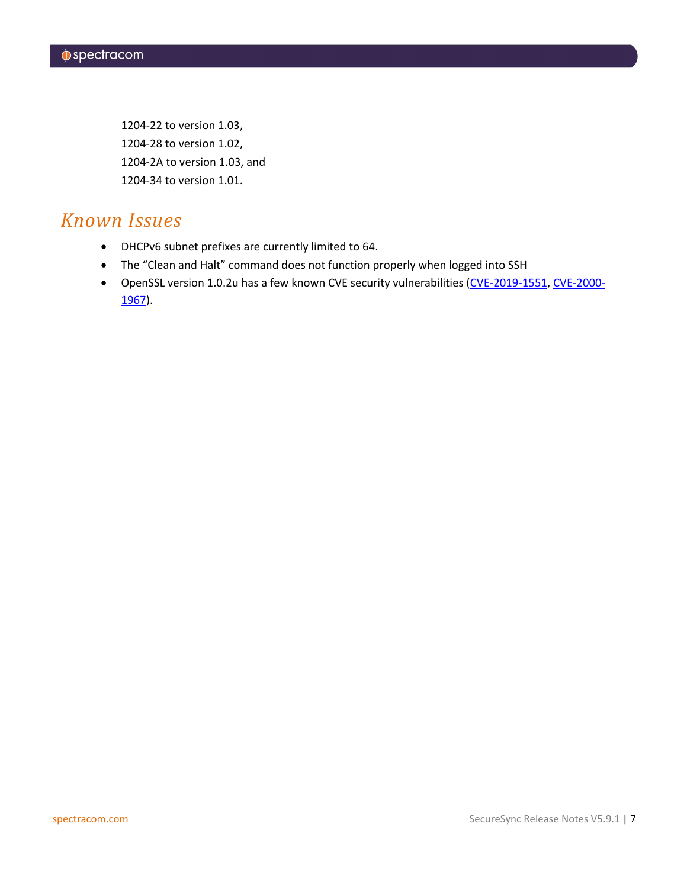1204-22 to version 1.03, 1204-28 to version 1.02, 1204-2A to version 1.03, and 1204-34 to version 1.01.

### *Known Issues*

- DHCPv6 subnet prefixes are currently limited to 64.
- The "Clean and Halt" command does not function properly when logged into SSH
- OpenSSL version 1.0.2u has a few known CVE security vulnerabilities [\(CVE-2019-1551,](https://nvd.nist.gov/vuln/detail/CVE-2019-1551) [CVE-2000-](https://nvd.nist.gov/vuln/detail/CVE-2000-1175) [1967\)](https://nvd.nist.gov/vuln/detail/CVE-2000-1175).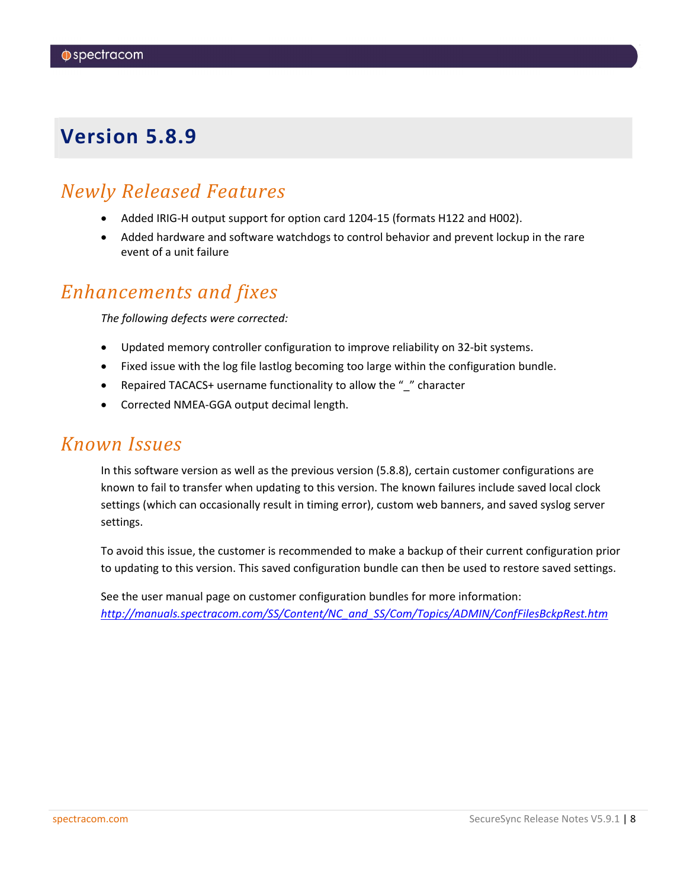### <span id="page-7-0"></span>*Newly Released Features*

- Added IRIG-H output support for option card 1204-15 (formats H122 and H002).
- Added hardware and software watchdogs to control behavior and prevent lockup in the rare event of a unit failure

### *Enhancements and fixes*

*The following defects were corrected:*

- Updated memory controller configuration to improve reliability on 32-bit systems.
- Fixed issue with the log file lastlog becoming too large within the configuration bundle.
- Repaired TACACS+ username functionality to allow the " " character
- Corrected NMEA-GGA output decimal length.

### *Known Issues*

In this software version as well as the previous version (5.8.8), certain customer configurations are known to fail to transfer when updating to this version. The known failures include saved local clock settings (which can occasionally result in timing error), custom web banners, and saved syslog server settings.

To avoid this issue, the customer is recommended to make a backup of their current configuration prior to updating to this version. This saved configuration bundle can then be used to restore saved settings.

See the user manual page on customer configuration bundles for more information: *[http://manuals.spectracom.com/SS/Content/NC\\_and\\_SS/Com/Topics/ADMIN/ConfFilesBckpRest.htm](http://manuals.spectracom.com/SS/Content/NC_and_SS/Com/Topics/ADMIN/ConfFilesBckpRest.htm)*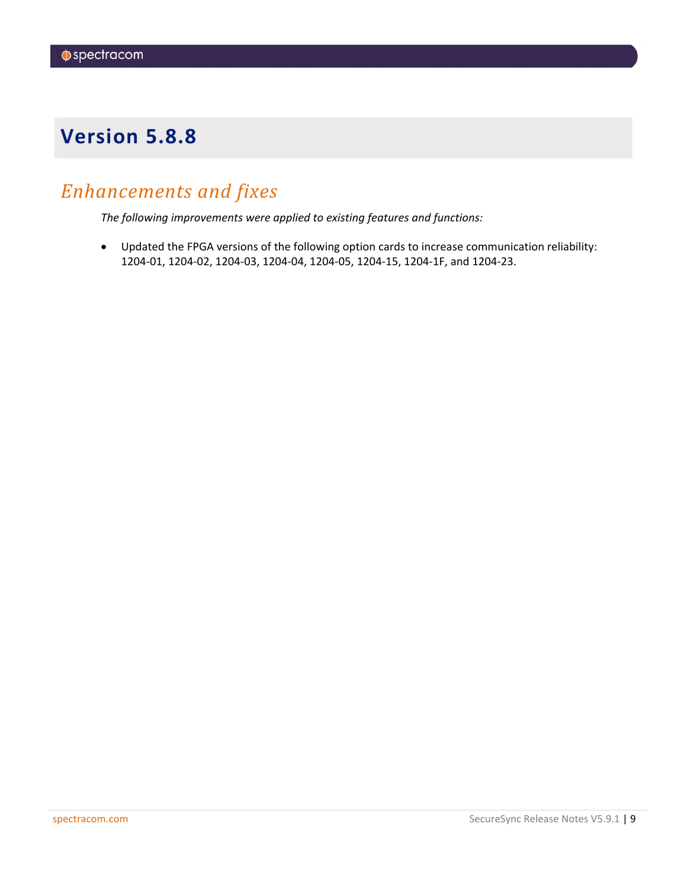## <span id="page-8-0"></span>*Enhancements and fixes*

*The following improvements were applied to existing features and functions:*

• Updated the FPGA versions of the following option cards to increase communication reliability: 1204-01, 1204-02, 1204-03, 1204-04, 1204-05, 1204-15, 1204-1F, and 1204-23.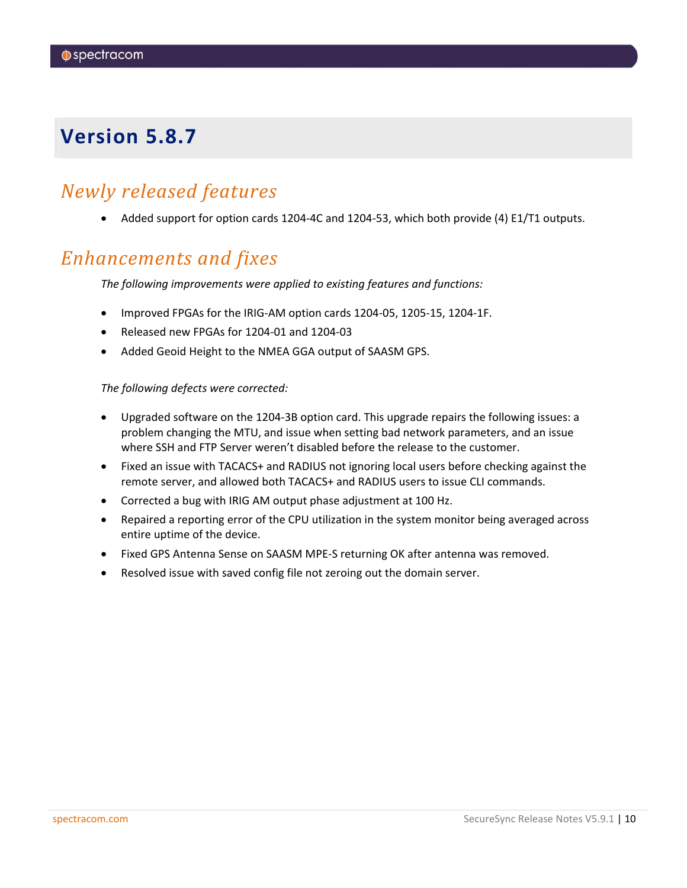### <span id="page-9-0"></span>*Newly released features*

• Added support for option cards 1204-4C and 1204-53, which both provide (4) E1/T1 outputs.

### *Enhancements and fixes*

*The following improvements were applied to existing features and functions:*

- Improved FPGAs for the IRIG-AM option cards 1204-05, 1205-15, 1204-1F.
- Released new FPGAs for 1204-01 and 1204-03
- Added Geoid Height to the NMEA GGA output of SAASM GPS.

#### *The following defects were corrected:*

- Upgraded software on the 1204-3B option card. This upgrade repairs the following issues: a problem changing the MTU, and issue when setting bad network parameters, and an issue where SSH and FTP Server weren't disabled before the release to the customer.
- Fixed an issue with TACACS+ and RADIUS not ignoring local users before checking against the remote server, and allowed both TACACS+ and RADIUS users to issue CLI commands.
- Corrected a bug with IRIG AM output phase adjustment at 100 Hz.
- Repaired a reporting error of the CPU utilization in the system monitor being averaged across entire uptime of the device.
- Fixed GPS Antenna Sense on SAASM MPE-S returning OK after antenna was removed.
- Resolved issue with saved config file not zeroing out the domain server.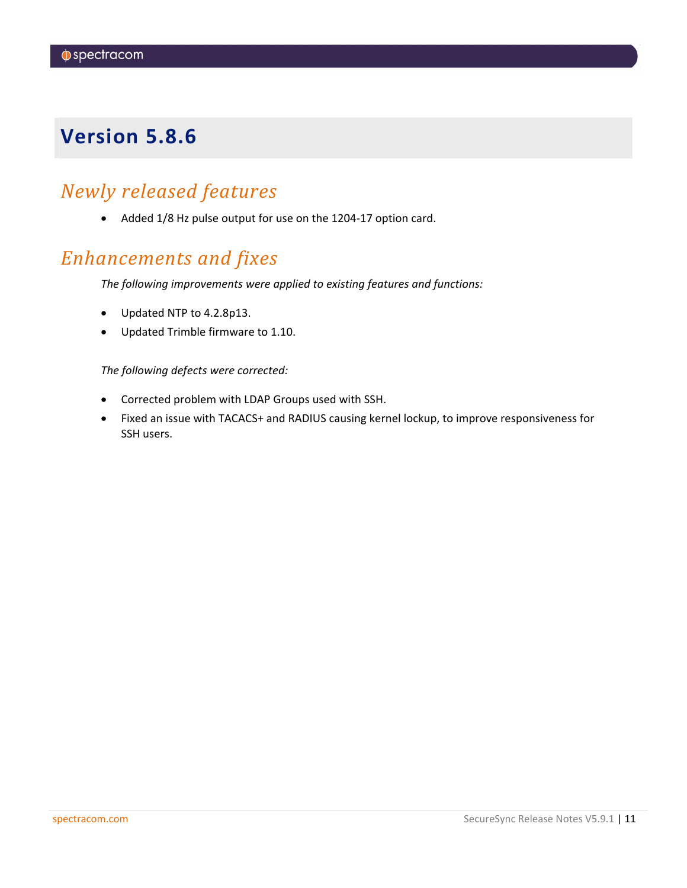### <span id="page-10-0"></span>*Newly released features*

• Added 1/8 Hz pulse output for use on the 1204-17 option card.

## *Enhancements and fixes*

*The following improvements were applied to existing features and functions:*

- Updated NTP to 4.2.8p13.
- Updated Trimble firmware to 1.10.

#### *The following defects were corrected:*

- Corrected problem with LDAP Groups used with SSH.
- Fixed an issue with TACACS+ and RADIUS causing kernel lockup, to improve responsiveness for SSH users.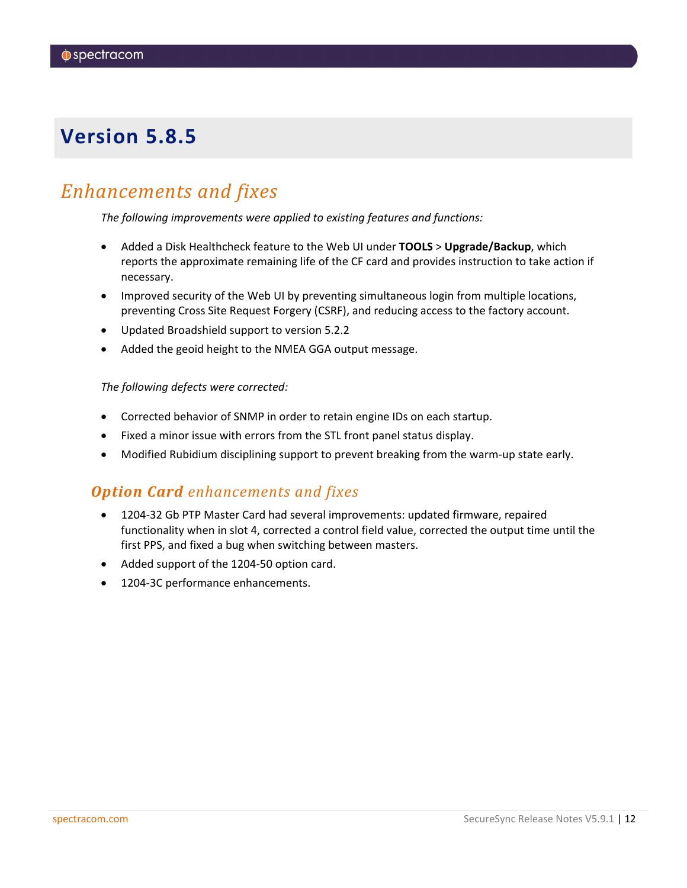### <span id="page-11-0"></span>*Enhancements and fixes*

*The following improvements were applied to existing features and functions:*

- Added a Disk Healthcheck feature to the Web UI under **TOOLS** > **Upgrade/Backup**, which reports the approximate remaining life of the CF card and provides instruction to take action if necessary.
- Improved security of the Web UI by preventing simultaneous login from multiple locations, preventing Cross Site Request Forgery (CSRF), and reducing access to the factory account.
- Updated Broadshield support to version 5.2.2
- Added the geoid height to the NMEA GGA output message.

#### *The following defects were corrected:*

- Corrected behavior of SNMP in order to retain engine IDs on each startup.
- Fixed a minor issue with errors from the STL front panel status display.
- Modified Rubidium disciplining support to prevent breaking from the warm-up state early.

#### *Option Card enhancements and fixes*

- 1204-32 Gb PTP Master Card had several improvements: updated firmware, repaired functionality when in slot 4, corrected a control field value, corrected the output time until the first PPS, and fixed a bug when switching between masters.
- Added support of the 1204-50 option card.
- 1204-3C performance enhancements.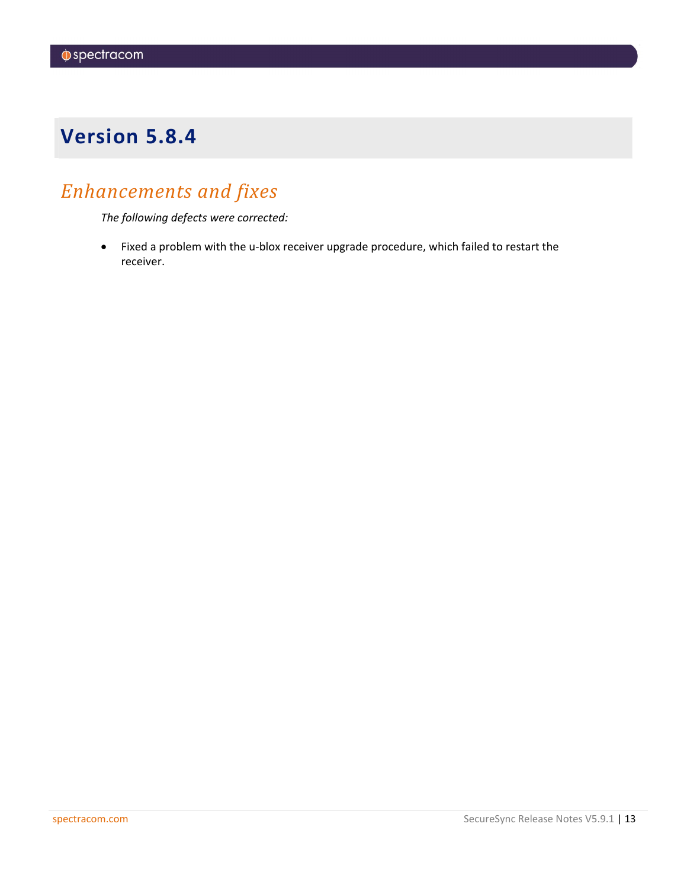# <span id="page-12-0"></span>*Enhancements and fixes*

*The following defects were corrected:*

• Fixed a problem with the u-blox receiver upgrade procedure, which failed to restart the receiver.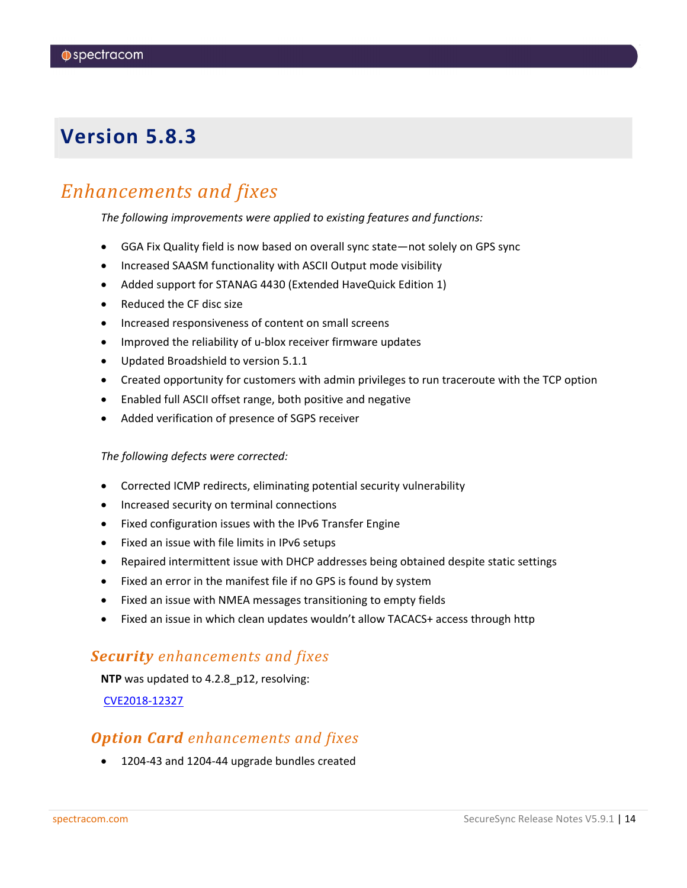### <span id="page-13-0"></span>*Enhancements and fixes*

*The following improvements were applied to existing features and functions:*

- GGA Fix Quality field is now based on overall sync state—not solely on GPS sync
- Increased SAASM functionality with ASCII Output mode visibility
- Added support for STANAG 4430 (Extended HaveQuick Edition 1)
- Reduced the CF disc size
- Increased responsiveness of content on small screens
- Improved the reliability of u-blox receiver firmware updates
- Updated Broadshield to version 5.1.1
- Created opportunity for customers with admin privileges to run traceroute with the TCP option
- Enabled full ASCII offset range, both positive and negative
- Added verification of presence of SGPS receiver

#### *The following defects were corrected:*

- Corrected ICMP redirects, eliminating potential security vulnerability
- Increased security on terminal connections
- Fixed configuration issues with the IPv6 Transfer Engine
- Fixed an issue with file limits in IPv6 setups
- Repaired intermittent issue with DHCP addresses being obtained despite static settings
- Fixed an error in the manifest file if no GPS is found by system
- Fixed an issue with NMEA messages transitioning to empty fields
- Fixed an issue in which clean updates wouldn't allow TACACS+ access through http

#### *Security enhancements and fixes*

**NTP** was updated to 4.2.8\_p12, resolving:

[CVE2018-12327](https://nvd.nist.gov/vuln/detail/CVE-2018-12327)

### *Option Card enhancements and fixes*

• 1204-43 and 1204-44 upgrade bundles created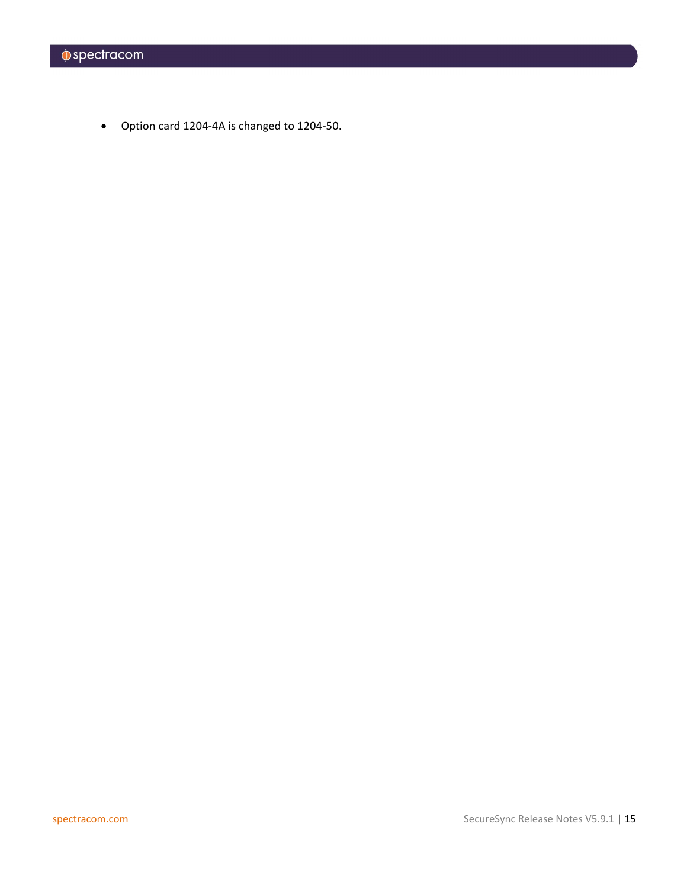• Option card 1204-4A is changed to 1204-50.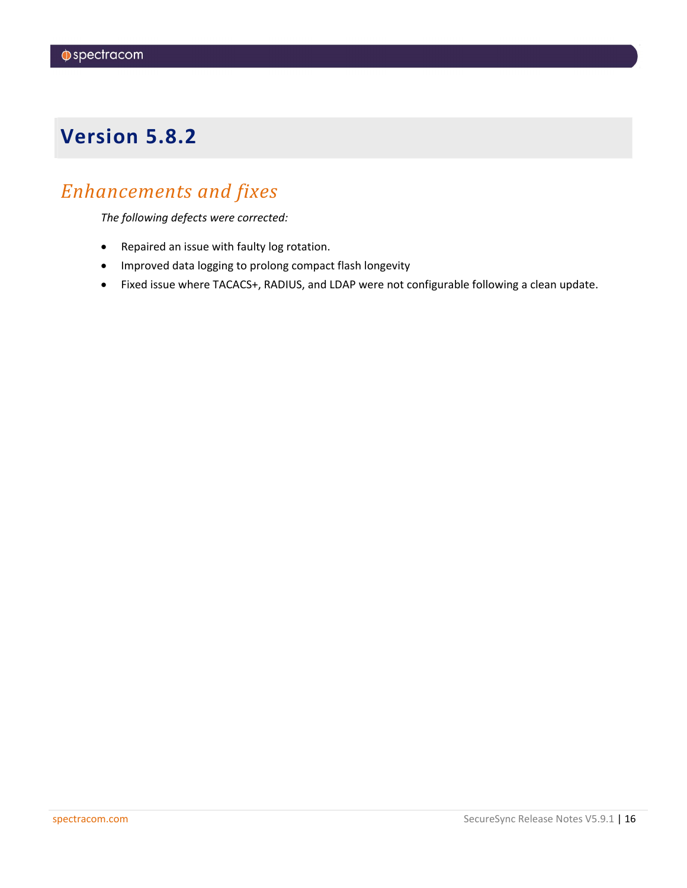## <span id="page-15-0"></span>*Enhancements and fixes*

*The following defects were corrected:*

- Repaired an issue with faulty log rotation.
- Improved data logging to prolong compact flash longevity
- Fixed issue where TACACS+, RADIUS, and LDAP were not configurable following a clean update.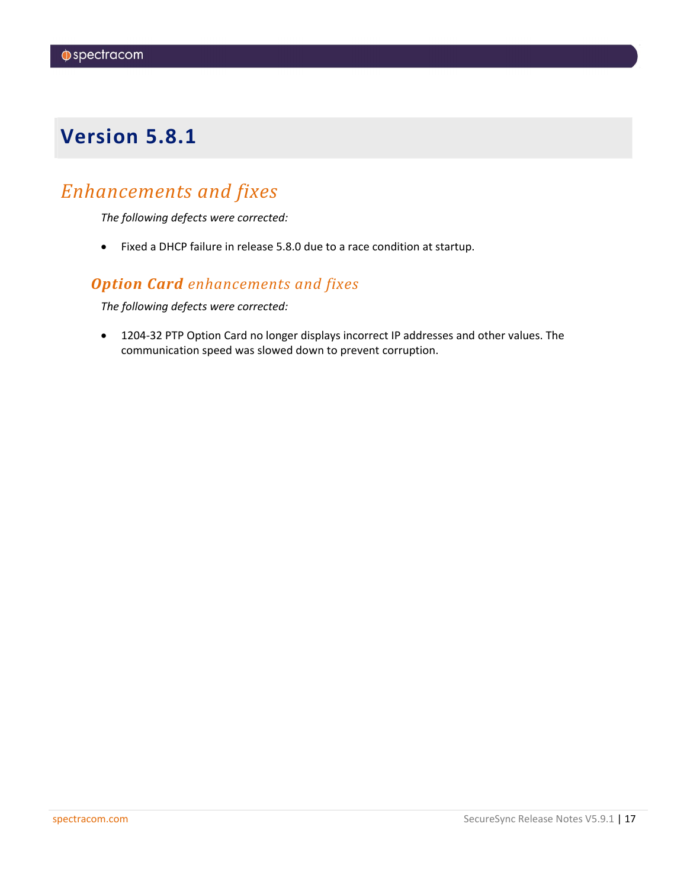## <span id="page-16-0"></span>*Enhancements and fixes*

*The following defects were corrected:*

• Fixed a DHCP failure in release 5.8.0 due to a race condition at startup.

### *Option Card enhancements and fixes*

*The following defects were corrected:*

• 1204-32 PTP Option Card no longer displays incorrect IP addresses and other values. The communication speed was slowed down to prevent corruption.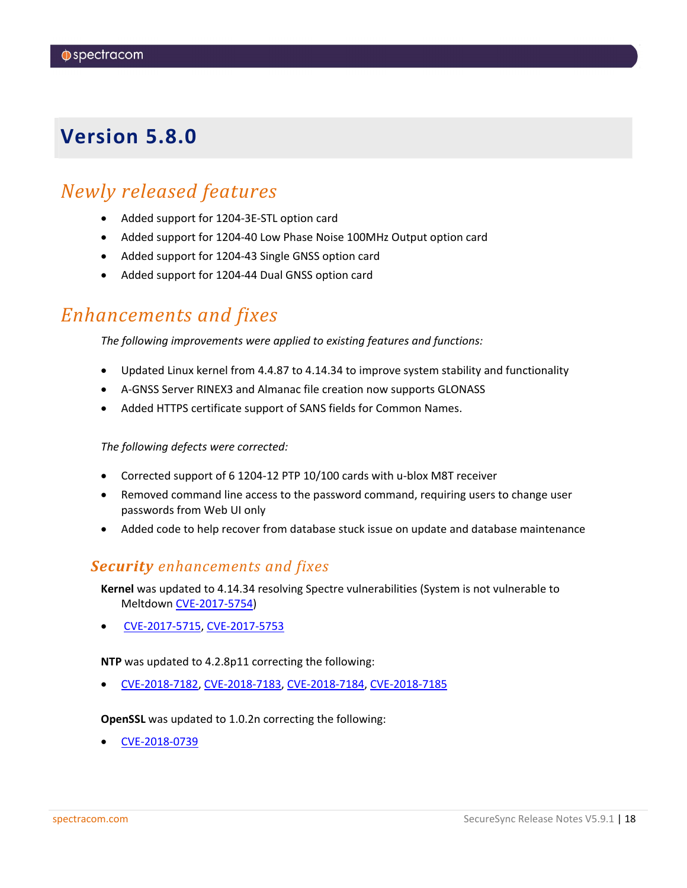### <span id="page-17-0"></span>*Newly released features*

- Added support for 1204-3E-STL option card
- Added support for 1204-40 Low Phase Noise 100MHz Output option card
- Added support for 1204-43 Single GNSS option card
- Added support for 1204-44 Dual GNSS option card

### *Enhancements and fixes*

*The following improvements were applied to existing features and functions:*

- Updated Linux kernel from 4.4.87 to 4.14.34 to improve system stability and functionality
- A-GNSS Server RINEX3 and Almanac file creation now supports GLONASS
- Added HTTPS certificate support of SANS fields for Common Names.

*The following defects were corrected:*

- Corrected support of 6 1204-12 PTP 10/100 cards with u-blox M8T receiver
- Removed command line access to the password command, requiring users to change user passwords from Web UI only
- Added code to help recover from database stuck issue on update and database maintenance

#### *Security enhancements and fixes*

**Kernel** was updated to 4.14.34 resolving Spectre vulnerabilities (System is not vulnerable to Meltdown [CVE-2017-5754\)](https://nvd.nist.gov/vuln/detail/CVE-2017-5754)

• [CVE-2017-5715,](https://nvd.nist.gov/vuln/detail/CVE-2017-5715) [CVE-2017-5753](https://nvd.nist.gov/vuln/detail/CVE-2017-5753)

**NTP** was updated to 4.2.8p11 correcting the following:

• [CVE-2018-7182,](http://nvd.nist.gov/nvd.cfm?cvename=CVE-2018-7182) [CVE-2018-7183,](http://nvd.nist.gov/nvd.cfm?cvename=CVE-2018-7183) [CVE-2018-7184,](http://nvd.nist.gov/nvd.cfm?cvename=CVE-2018-7184) [CVE-2018-7185](http://nvd.nist.gov/nvd.cfm?cvename=CVE-2018-7185)

**OpenSSL** was updated to 1.0.2n correcting the following:

• [CVE-2018-0739](http://nvd.nist.gov/nvd.cfm?cvename=CVE-2018-0739)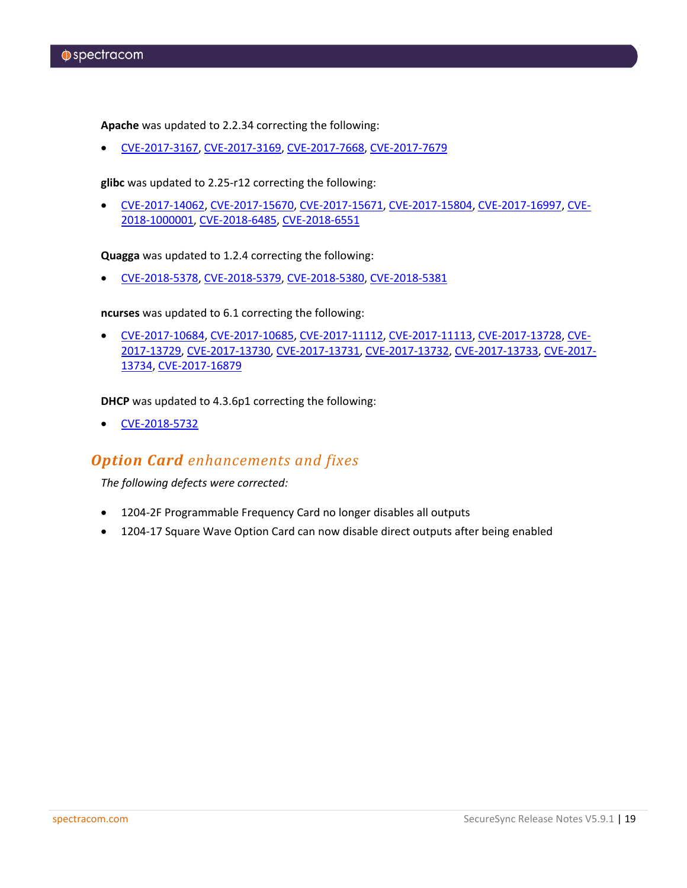**Apache** was updated to 2.2.34 correcting the following:

• [CVE-2017-3167,](http://nvd.nist.gov/nvd.cfm?cvename=CVE-2017-3167) [CVE-2017-3169,](http://nvd.nist.gov/nvd.cfm?cvename=CVE-2017-3169) [CVE-2017-7668,](http://nvd.nist.gov/nvd.cfm?cvename=CVE-2017-7668) [CVE-2017-7679](http://nvd.nist.gov/nvd.cfm?cvename=CVE-2017-7679)

**glibc** was updated to 2.25-r12 correcting the following:

• [CVE-2017-14062,](http://nvd.nist.gov/nvd.cfm?cvename=CVE-2017-14062) [CVE-2017-15670,](http://nvd.nist.gov/nvd.cfm?cvename=CVE-2017-15670) [CVE-2017-15671,](http://nvd.nist.gov/nvd.cfm?cvename=CVE-2017-15671) [CVE-2017-15804,](http://nvd.nist.gov/nvd.cfm?cvename=CVE-2017-15804) [CVE-2017-16997,](http://nvd.nist.gov/nvd.cfm?cvename=CVE-2017-16997) [CVE-](http://nvd.nist.gov/nvd.cfm?cvename=CVE-2018-1000001)[2018-1000001,](http://nvd.nist.gov/nvd.cfm?cvename=CVE-2018-1000001) [CVE-2018-6485,](http://nvd.nist.gov/nvd.cfm?cvename=CVE-2018-6485) [CVE-2018-6551](http://nvd.nist.gov/nvd.cfm?cvename=CVE-2018-6551)

**Quagga** was updated to 1.2.4 correcting the following:

• [CVE-2018-5378,](http://nvd.nist.gov/nvd.cfm?cvename=CVE-2018-5378) [CVE-2018-5379,](http://nvd.nist.gov/nvd.cfm?cvename=CVE-2018-5379) [CVE-2018-5380,](http://nvd.nist.gov/nvd.cfm?cvename=CVE-2018-5380) [CVE-2018-5381](http://nvd.nist.gov/nvd.cfm?cvename=CVE-2018-5381)

**ncurses** was updated to 6.1 correcting the following:

• [CVE-2017-10684,](http://nvd.nist.gov/nvd.cfm?cvename=CVE-2017-10684) [CVE-2017-10685,](http://nvd.nist.gov/nvd.cfm?cvename=CVE-2017-10685) [CVE-2017-11112,](http://nvd.nist.gov/nvd.cfm?cvename=CVE-2017-11112) [CVE-2017-11113,](http://nvd.nist.gov/nvd.cfm?cvename=CVE-2017-11113) [CVE-2017-13728,](http://nvd.nist.gov/nvd.cfm?cvename=CVE-2017-13728) [CVE-](http://nvd.nist.gov/nvd.cfm?cvename=CVE-2017-13729)[2017-13729,](http://nvd.nist.gov/nvd.cfm?cvename=CVE-2017-13729) [CVE-2017-13730,](http://nvd.nist.gov/nvd.cfm?cvename=CVE-2017-13730) [CVE-2017-13731,](http://nvd.nist.gov/nvd.cfm?cvename=CVE-2017-13731) [CVE-2017-13732,](http://nvd.nist.gov/nvd.cfm?cvename=CVE-2017-13732) [CVE-2017-13733,](http://nvd.nist.gov/nvd.cfm?cvename=CVE-2017-13733) [CVE-2017-](http://nvd.nist.gov/nvd.cfm?cvename=CVE-2017-13734) [13734,](http://nvd.nist.gov/nvd.cfm?cvename=CVE-2017-13734) [CVE-2017-16879](http://nvd.nist.gov/nvd.cfm?cvename=CVE-2017-16879)

**DHCP** was updated to 4.3.6p1 correcting the following:

• [CVE-2018-5732](http://nvd.nist.gov/nvd.cfm?cvename=CVE-2018-5732)

### *Option Card enhancements and fixes*

*The following defects were corrected:*

- 1204-2F Programmable Frequency Card no longer disables all outputs
- 1204-17 Square Wave Option Card can now disable direct outputs after being enabled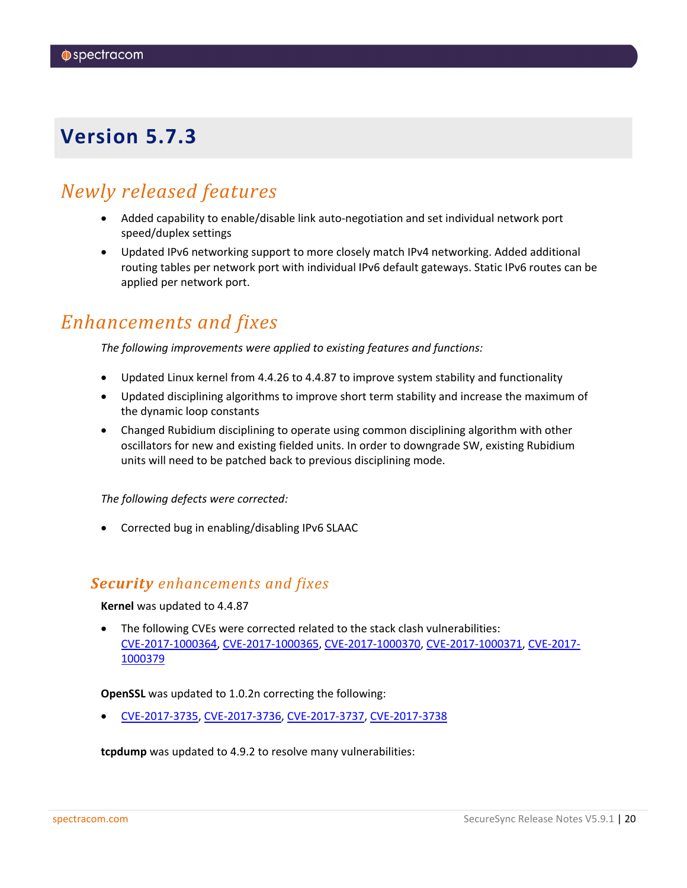### <span id="page-19-0"></span>*Newly released features*

- Added capability to enable/disable link auto-negotiation and set individual network port speed/duplex settings
- Updated IPv6 networking support to more closely match IPv4 networking. Added additional routing tables per network port with individual IPv6 default gateways. Static IPv6 routes can be applied per network port.

### *Enhancements and fixes*

*The following improvements were applied to existing features and functions:*

- Updated Linux kernel from 4.4.26 to 4.4.87 to improve system stability and functionality
- Updated disciplining algorithms to improve short term stability and increase the maximum of the dynamic loop constants
- Changed Rubidium disciplining to operate using common disciplining algorithm with other oscillators for new and existing fielded units. In order to downgrade SW, existing Rubidium units will need to be patched back to previous disciplining mode.

*The following defects were corrected:*

• Corrected bug in enabling/disabling IPv6 SLAAC

#### *Security enhancements and fixes*

**Kernel** was updated to 4.4.87

• The following CVEs were corrected related to the stack clash vulnerabilities: [CVE-2017-1000364,](http://nvd.nist.gov/nvd.cfm?cvename=CVE-2017-1000364) [CVE-2017-1000365,](http://nvd.nist.gov/nvd.cfm?cvename=CVE-2017-1000365) [CVE-2017-1000370,](http://nvd.nist.gov/nvd.cfm?cvename=CVE-2017-1000370) [CVE-2017-1000371,](http://nvd.nist.gov/nvd.cfm?cvename=CVE-2017-1000371) [CVE-2017-](http://nvd.nist.gov/nvd.cfm?cvename=CVE-2017-1000379) [1000379](http://nvd.nist.gov/nvd.cfm?cvename=CVE-2017-1000379)

**OpenSSL** was updated to 1.0.2n correcting the following:

• [CVE-2017-3735,](http://nvd.nist.gov/nvd.cfm?cvename=CVE-2017-3735) [CVE-2017-3736,](http://nvd.nist.gov/nvd.cfm?cvename=CVE-2017-3736) [CVE-2017-3737,](http://nvd.nist.gov/nvd.cfm?cvename=CVE-2017-3737) [CVE-2017-3738](http://nvd.nist.gov/nvd.cfm?cvename=CVE-2017-3738)

**tcpdump** was updated to 4.9.2 to resolve many vulnerabilities: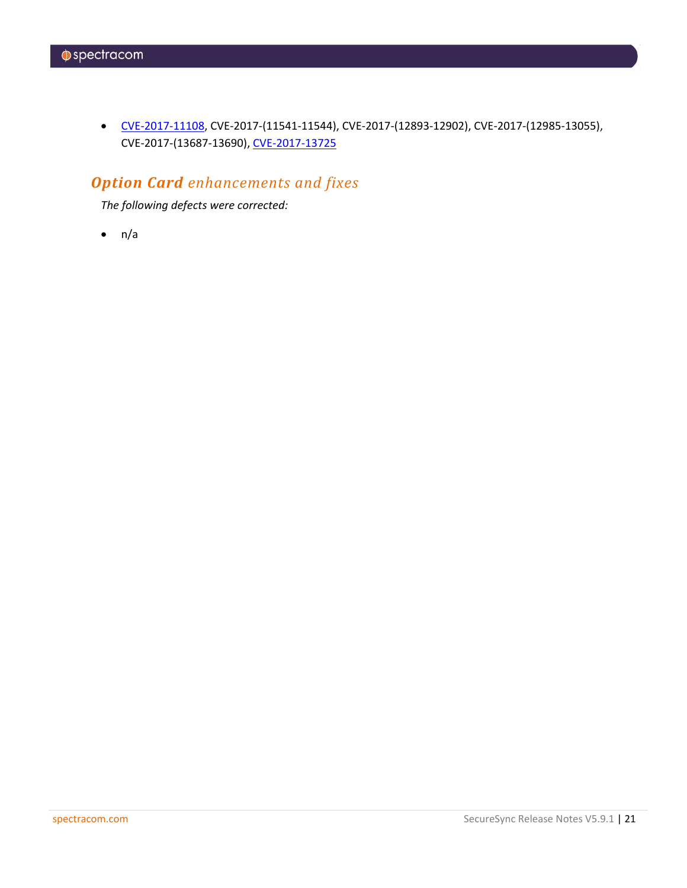• [CVE-2017-11108,](http://nvd.nist.gov/nvd.cfm?cvename=CVE-2017-11108) CVE-2017-(11541-11544), CVE-2017-(12893-12902), CVE-2017-(12985-13055), CVE-2017-(13687-13690)[, CVE-2017-13725](http://nvd.nist.gov/nvd.cfm?cvename=CVE-2017-13725)

### *Option Card enhancements and fixes*

*The following defects were corrected:*

 $\bullet$  n/a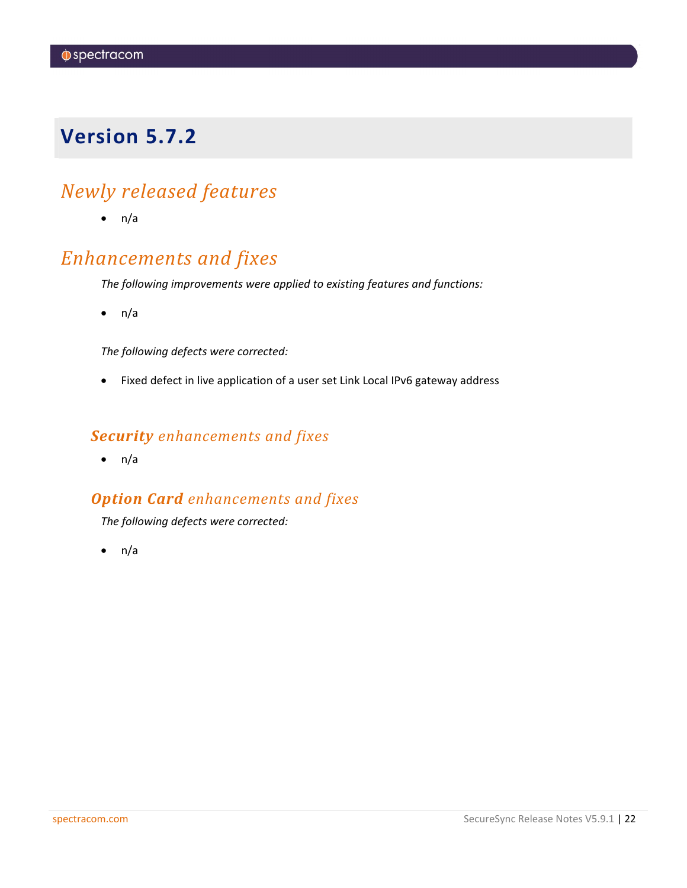## <span id="page-21-0"></span>*Newly released features*

 $\bullet$  n/a

### *Enhancements and fixes*

*The following improvements were applied to existing features and functions:*

 $\bullet$  n/a

*The following defects were corrected:*

• Fixed defect in live application of a user set Link Local IPv6 gateway address

#### *Security enhancements and fixes*

 $\bullet$  n/a

### *Option Card enhancements and fixes*

*The following defects were corrected:*

 $\bullet$  n/a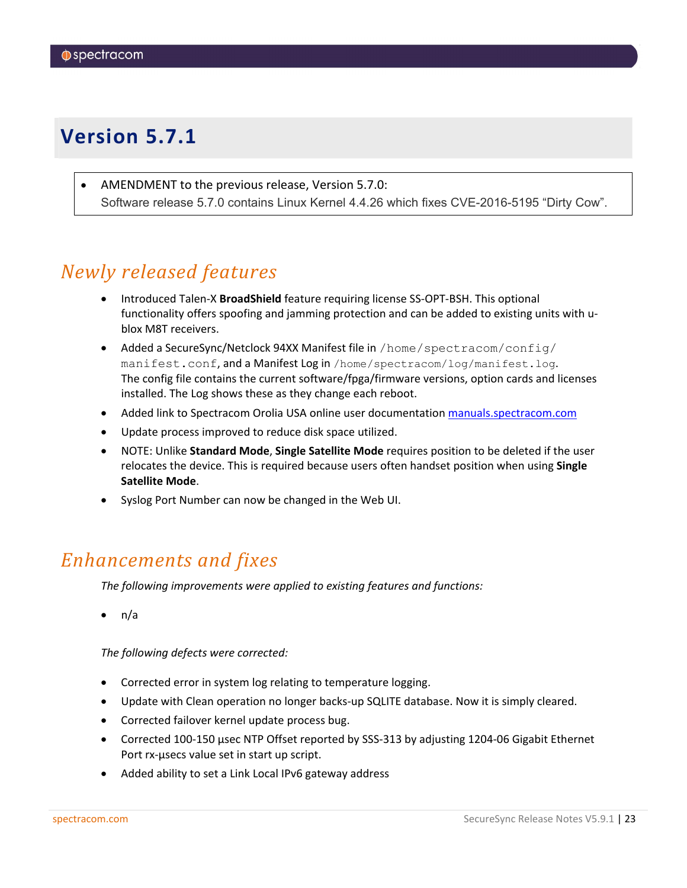<span id="page-22-0"></span>• AMENDMENT to the previous release, Version 5.7.0: Software release 5.7.0 contains Linux Kernel 4.4.26 which fixes CVE-2016-5195 "Dirty Cow".

### *Newly released features*

- Introduced Talen-X **BroadShield** feature requiring license SS-OPT-BSH. This optional functionality offers spoofing and jamming protection and can be added to existing units with ublox M8T receivers.
- Added a SecureSync/Netclock 94XX Manifest file in /home/spectracom/config/ manifest.conf, and a Manifest Log in /home/spectracom/log/manifest.log. The config file contains the current software/fpga/firmware versions, option cards and licenses installed. The Log shows these as they change each reboot.
- Added link to Spectracom Orolia USA online user documentation [manuals.spectracom.com](http://manuals.spectracom.com/)
- Update process improved to reduce disk space utilized.
- NOTE: Unlike **Standard Mode**, **Single Satellite Mode** requires position to be deleted if the user relocates the device. This is required because users often handset position when using **Single Satellite Mode**.
- Syslog Port Number can now be changed in the Web UI.

### *Enhancements and fixes*

*The following improvements were applied to existing features and functions:*

• n/a

*The following defects were corrected:*

- Corrected error in system log relating to temperature logging.
- Update with Clean operation no longer backs-up SQLITE database. Now it is simply cleared.
- Corrected failover kernel update process bug.
- Corrected 100-150 usec NTP Offset reported by SSS-313 by adjusting 1204-06 Gigabit Ethernet Port rx-µsecs value set in start up script.
- Added ability to set a Link Local IPv6 gateway address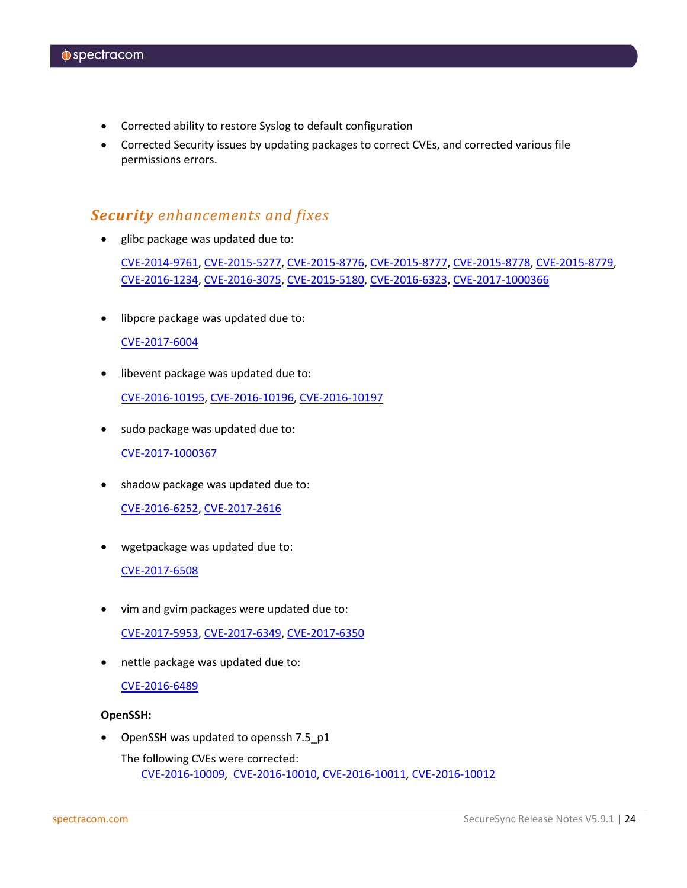- Corrected ability to restore Syslog to default configuration
- Corrected Security issues by updating packages to correct CVEs, and corrected various file permissions errors.

#### *Security enhancements and fixes*

• glibc package was updated due to:

[CVE-2014-9761,](http://nvd.nist.gov/nvd.cfm?cvename=CVE-2014-9761) [CVE-2015-5277,](http://nvd.nist.gov/nvd.cfm?cvename=CVE-2015-5277) [CVE-2015-8776,](http://nvd.nist.gov/nvd.cfm?cvename=CVE-2015-8776) [CVE-2015-8777,](http://nvd.nist.gov/nvd.cfm?cvename=CVE-2015-8777) [CVE-2015-8778,](http://nvd.nist.gov/nvd.cfm?cvename=CVE-2015-8778) [CVE-2015-8779,](http://nvd.nist.gov/nvd.cfm?cvename=CVE-2015-8779) [CVE-2016-1234,](http://nvd.nist.gov/nvd.cfm?cvename=CVE-2016-1234) [CVE-2016-3075,](http://nvd.nist.gov/nvd.cfm?cvename=CVE-2016-3075) [CVE-2015-5180,](http://nvd.nist.gov/nvd.cfm?cvename=CVE-2015-5180) [CVE-2016-6323,](http://nvd.nist.gov/nvd.cfm?cvename=CVE-2016-6323) [CVE-2017-1000366](http://nvd.nist.gov/nvd.cfm?cvename=CVE-2017-1000366)

• libpcre package was updated due to:

#### [CVE-2017-6004](http://nvd.nist.gov/nvd.cfm?cvename=CVE-2017-6004)

- libevent package was updated due to: [CVE-2016-10195,](http://nvd.nist.gov/nvd.cfm?cvename=CVE-2016-10195) [CVE-2016-10196,](http://nvd.nist.gov/nvd.cfm?cvename=CVE-2016-10196) [CVE-2016-10197](http://nvd.nist.gov/nvd.cfm?cvename=CVE-2016-10197)
- sudo package was updated due to: [CVE-2017-1000367](http://nvd.nist.gov/nvd.cfm?cvename=CVE-2017-1000367)
- shadow package was updated due to:

[CVE-2016-6252,](http://nvd.nist.gov/nvd.cfm?cvename=CVE-2016-6252) [CVE-2017-2616](http://nvd.nist.gov/nvd.cfm?cvename=CVE-2017-2616)

• wgetpackage was updated due to:

[CVE-2017-6508](http://nvd.nist.gov/nvd.cfm?cvename=CVE-2017-6508)

- vim and gvim packages were updated due to: [CVE-2017-5953,](http://nvd.nist.gov/nvd.cfm?cvename=CVE-2017-5953) [CVE-2017-6349,](http://nvd.nist.gov/nvd.cfm?cvename=CVE-2017-6349) [CVE-2017-6350](http://nvd.nist.gov/nvd.cfm?cvename=CVE-2017-6350)
- nettle package was updated due to:

[CVE-2016-6489](http://nvd.nist.gov/nvd.cfm?cvename=CVE-2016-6489)

#### **OpenSSH:**

OpenSSH was updated to openssh 7.5 p1

The following CVEs were corrected: [CVE-2016-10009,](http://nvd.nist.gov/nvd.cfm?cvename=CVE-2016-10009) [CVE-2016-10010,](http://nvd.nist.gov/nvd.cfm?cvename=CVE-2016-10010) [CVE-2016-10011,](http://nvd.nist.gov/nvd.cfm?cvename=CVE-2016-10011) [CVE-2016-10012](http://nvd.nist.gov/nvd.cfm?cvename=CVE-2016-10012)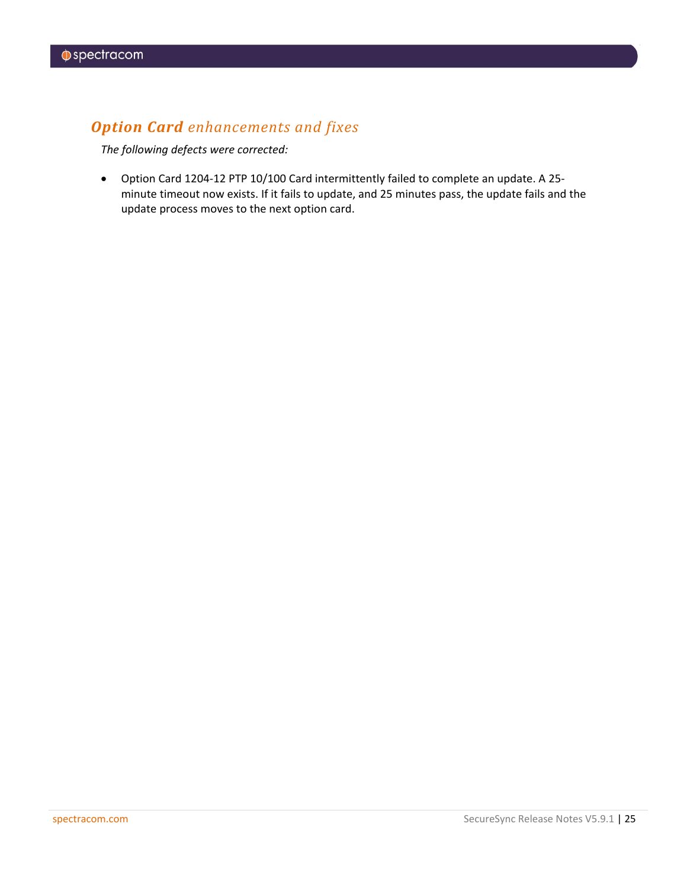### *Option Card enhancements and fixes*

*The following defects were corrected:*

• Option Card 1204-12 PTP 10/100 Card intermittently failed to complete an update. A 25 minute timeout now exists. If it fails to update, and 25 minutes pass, the update fails and the update process moves to the next option card.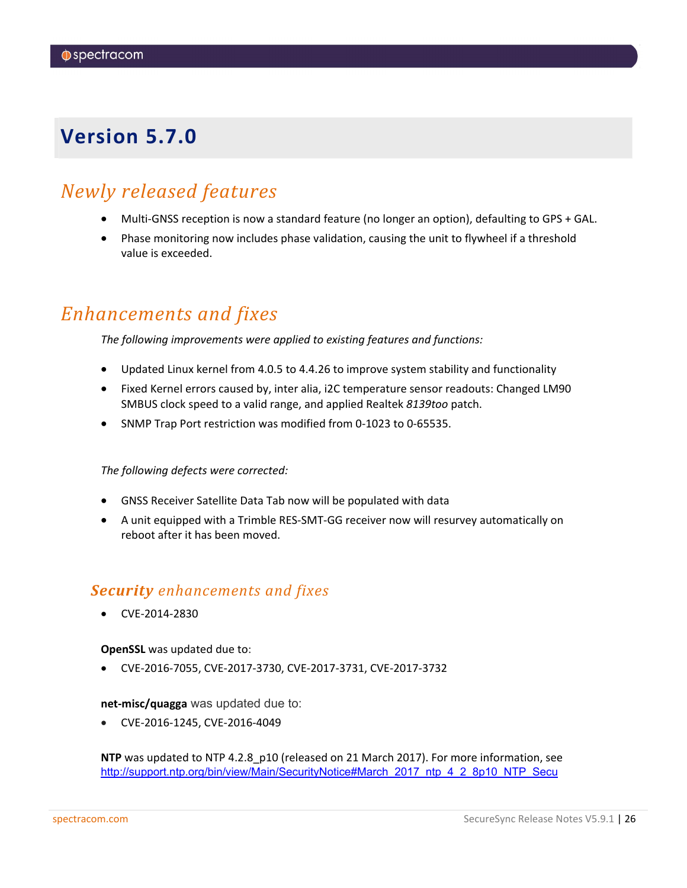### <span id="page-25-0"></span>*Newly released features*

- Multi-GNSS reception is now a standard feature (no longer an option), defaulting to GPS + GAL.
- Phase monitoring now includes phase validation, causing the unit to flywheel if a threshold value is exceeded.

### *Enhancements and fixes*

*The following improvements were applied to existing features and functions:*

- Updated Linux kernel from 4.0.5 to 4.4.26 to improve system stability and functionality
- Fixed Kernel errors caused by, inter alia, i2C temperature sensor readouts: Changed LM90 SMBUS clock speed to a valid range, and applied Realtek *8139too* patch.
- SNMP Trap Port restriction was modified from 0-1023 to 0-65535.

*The following defects were corrected:*

- GNSS Receiver Satellite Data Tab now will be populated with data
- A unit equipped with a Trimble RES-SMT-GG receiver now will resurvey automatically on reboot after it has been moved.

### *Security enhancements and fixes*

• CVE-2014-2830

**OpenSSL** was updated due to:

• CVE-2016-7055, CVE-2017-3730, CVE-2017-3731, CVE-2017-3732

**net-misc/quagga** was updated due to:

• CVE-2016-1245, CVE-2016-4049

**NTP** was updated to NTP 4.2.8\_p10 (released on 21 March 2017). For more information, see [http://support.ntp.org/bin/view/Main/SecurityNotice#March\\_2017\\_ntp\\_4\\_2\\_8p10\\_NTP\\_Secu](http://support.ntp.org/bin/view/Main/SecurityNotice#March_2017_ntp_4_2_8p10_NTP_Secu)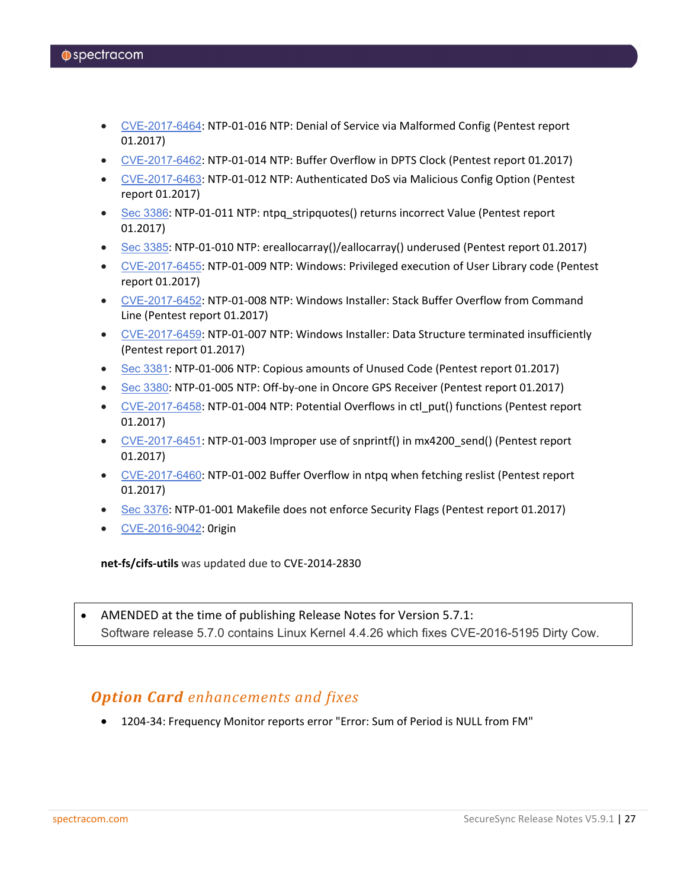- [CVE-2017-6464](http://web.nvd.nist.gov/view/vuln/detail?vulnId=CVE-2017-6464): NTP-01-016 NTP: Denial of Service via Malformed Config (Pentest report 01.2017)
- [CVE-2017-6462](http://web.nvd.nist.gov/view/vuln/detail?vulnId=CVE-2017-6462): NTP-01-014 NTP: Buffer Overflow in DPTS Clock (Pentest report 01.2017)
- [CVE-2017-6463](http://web.nvd.nist.gov/view/vuln/detail?vulnId=CVE-2017-6463): NTP-01-012 NTP: Authenticated DoS via Malicious Config Option (Pentest report 01.2017)
- Sec [3386](http://support.ntp.org/bin/view/Main/NtpBug3386): NTP-01-011 NTP: ntpg\_stripquotes() returns incorrect Value (Pentest report 01.2017)
- Sec [3385](http://support.ntp.org/bin/view/Main/NtpBug3385): NTP-01-010 NTP: ereallocarray()/eallocarray() underused (Pentest report 01.2017)
- [CVE-2017-6455](http://web.nvd.nist.gov/view/vuln/detail?vulnId=CVE-2017-6455): NTP-01-009 NTP: Windows: Privileged execution of User Library code (Pentest report 01.2017)
- [CVE-2017-6452](http://web.nvd.nist.gov/view/vuln/detail?vulnId=CVE-2017-6452): NTP-01-008 NTP: Windows Installer: Stack Buffer Overflow from Command Line (Pentest report 01.2017)
- [CVE-2017-6459](http://web.nvd.nist.gov/view/vuln/detail?vulnId=CVE-2017-6459): NTP-01-007 NTP: Windows Installer: Data Structure terminated insufficiently (Pentest report 01.2017)
- Sec [3381](http://support.ntp.org/bin/view/Main/NtpBug3381): NTP-01-006 NTP: Copious amounts of Unused Code (Pentest report 01.2017)
- Sec [3380](http://support.ntp.org/bin/view/Main/NtpBug3380): NTP-01-005 NTP: Off-by-one in Oncore GPS Receiver (Pentest report 01.2017)
- [CVE-2017-6458](http://web.nvd.nist.gov/view/vuln/detail?vulnId=CVE-2017-6458): NTP-01-004 NTP: Potential Overflows in ctl\_put() functions (Pentest report 01.2017)
- [CVE-2017-6451](http://web.nvd.nist.gov/view/vuln/detail?vulnId=CVE-2017-6451): NTP-01-003 Improper use of snprintf() in mx4200\_send() (Pentest report 01.2017)
- [CVE-2017-6460](http://web.nvd.nist.gov/view/vuln/detail?vulnId=CVE-2017-6460): NTP-01-002 Buffer Overflow in ntpq when fetching reslist (Pentest report 01.2017)
- Sec [3376](http://support.ntp.org/bin/view/Main/NtpBug3376): NTP-01-001 Makefile does not enforce Security Flags (Pentest report 01.2017)
- [CVE-2016-9042](http://web.nvd.nist.gov/view/vuln/detail?vulnId=CVE-2016-9042): 0rigin

**net-fs/cifs-utils** was updated due to CVE-2014-2830

• AMENDED at the time of publishing Release Notes for Version 5.7.1: Software release 5.7.0 contains Linux Kernel 4.4.26 which fixes CVE-2016-5195 Dirty Cow.

#### *Option Card enhancements and fixes*

• 1204-34: Frequency Monitor reports error "Error: Sum of Period is NULL from FM"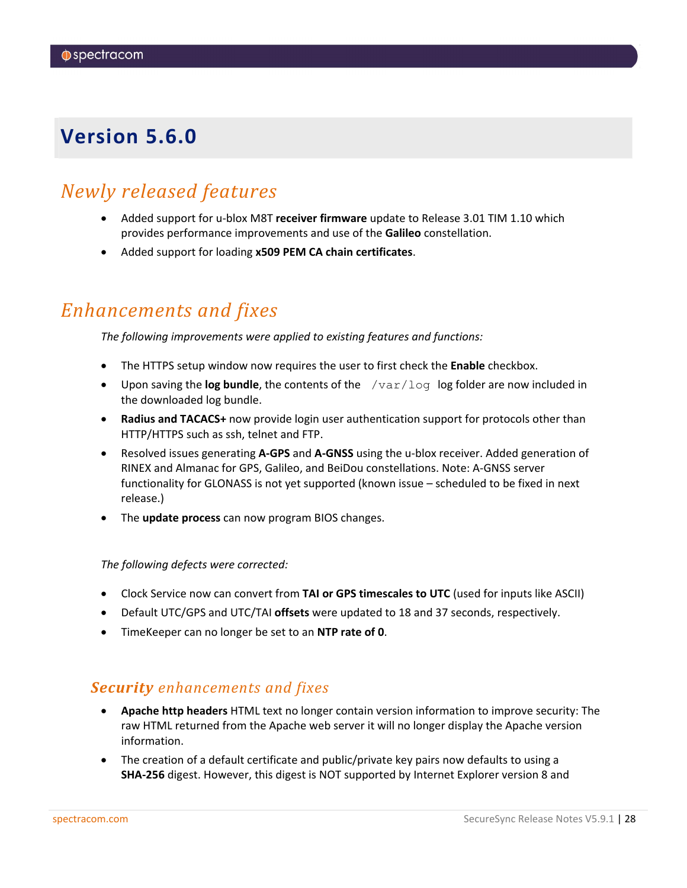### <span id="page-27-0"></span>*Newly released features*

- Added support for u-blox M8T **receiver firmware** update to Release 3.01 TIM 1.10 which provides performance improvements and use of the **Galileo** constellation.
- Added support for loading **x509 PEM CA chain certificates**.

### *Enhancements and fixes*

*The following improvements were applied to existing features and functions:*

- The HTTPS setup window now requires the user to first check the **Enable** checkbox.
- Upon saving the **log bundle**, the contents of the /var/log log folder are now included in the downloaded log bundle.
- **Radius and TACACS+** now provide login user authentication support for protocols other than HTTP/HTTPS such as ssh, telnet and FTP.
- Resolved issues generating **A-GPS** and **A-GNSS** using the u-blox receiver. Added generation of RINEX and Almanac for GPS, Galileo, and BeiDou constellations. Note: A-GNSS server functionality for GLONASS is not yet supported (known issue – scheduled to be fixed in next release.)
- The **update process** can now program BIOS changes.

#### *The following defects were corrected:*

- Clock Service now can convert from **TAI or GPS timescales to UTC** (used for inputs like ASCII)
- Default UTC/GPS and UTC/TAI **offsets** were updated to 18 and 37 seconds, respectively.
- TimeKeeper can no longer be set to an **NTP rate of 0**.

#### *Security enhancements and fixes*

- **Apache http headers** HTML text no longer contain version information to improve security: The raw HTML returned from the Apache web server it will no longer display the Apache version information.
- The creation of a default certificate and public/private key pairs now defaults to using a **SHA-256** digest. However, this digest is NOT supported by Internet Explorer version 8 and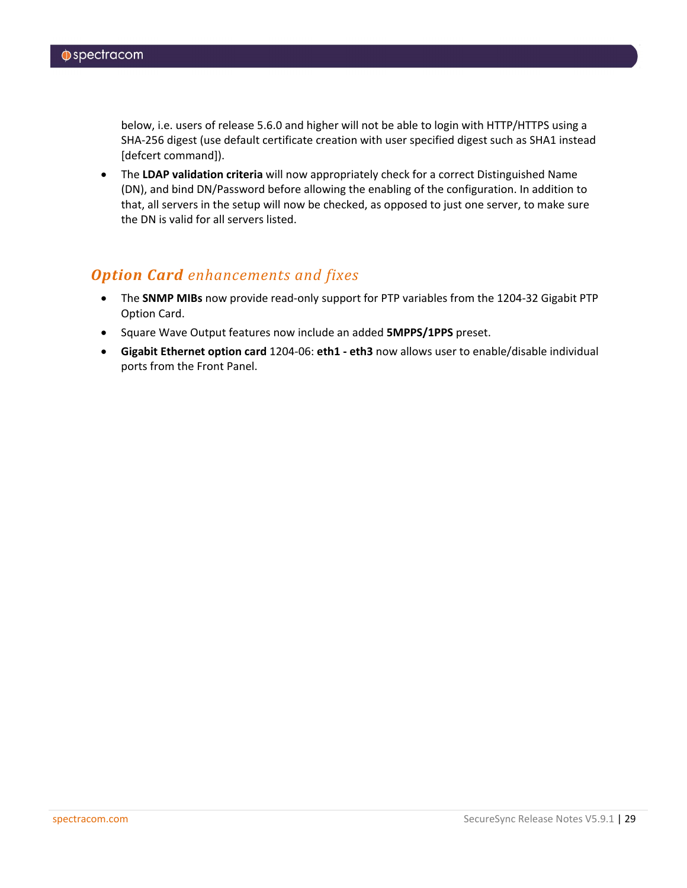below, i.e. users of release 5.6.0 and higher will not be able to login with HTTP/HTTPS using a SHA-256 digest (use default certificate creation with user specified digest such as SHA1 instead [defcert command]).

• The **LDAP validation criteria** will now appropriately check for a correct Distinguished Name (DN), and bind DN/Password before allowing the enabling of the configuration. In addition to that, all servers in the setup will now be checked, as opposed to just one server, to make sure the DN is valid for all servers listed.

### *Option Card enhancements and fixes*

- The **SNMP MIBs** now provide read-only support for PTP variables from the 1204-32 Gigabit PTP Option Card.
- Square Wave Output features now include an added **5MPPS/1PPS** preset.
- **Gigabit Ethernet option card** 1204-06: **eth1 - eth3** now allows user to enable/disable individual ports from the Front Panel.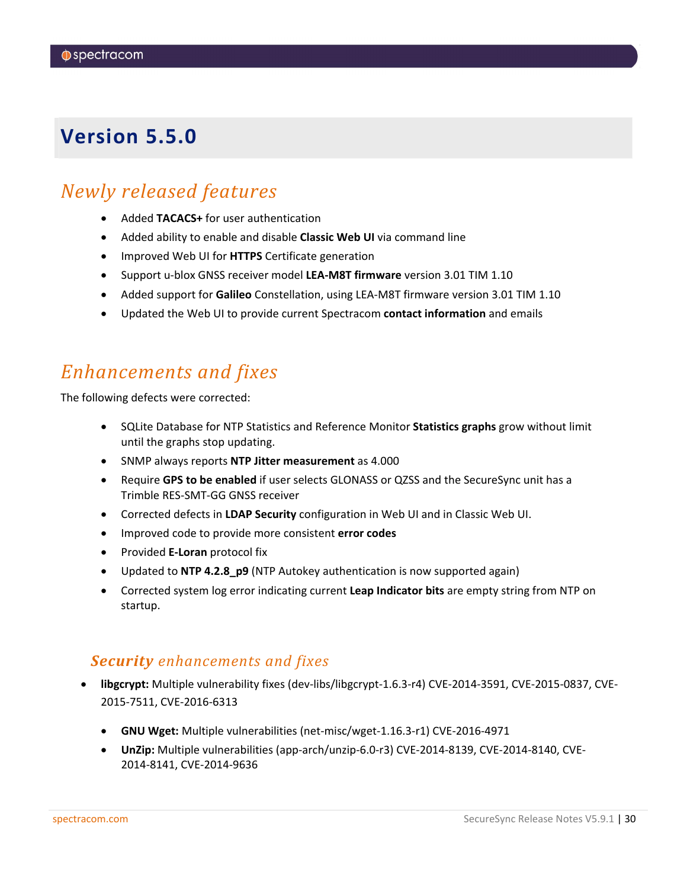### <span id="page-29-0"></span>*Newly released features*

- Added **TACACS+** for user authentication
- Added ability to enable and disable **Classic Web UI** via command line
- Improved Web UI for **HTTPS** Certificate generation
- Support u-blox GNSS receiver model **LEA-M8T firmware** version 3.01 TIM 1.10
- Added support for **Galileo** Constellation, using LEA-M8T firmware version 3.01 TIM 1.10
- Updated the Web UI to provide current Spectracom **contact information** and emails

### *Enhancements and fixes*

The following defects were corrected:

- SQLite Database for NTP Statistics and Reference Monitor **Statistics graphs** grow without limit until the graphs stop updating.
- SNMP always reports **NTP Jitter measurement** as 4.000
- Require **GPS to be enabled** if user selects GLONASS or QZSS and the SecureSync unit has a Trimble RES-SMT-GG GNSS receiver
- Corrected defects in **LDAP Security** configuration in Web UI and in Classic Web UI.
- Improved code to provide more consistent **error codes**
- Provided **E-Loran** protocol fix
- Updated to **NTP 4.2.8\_p9** (NTP Autokey authentication is now supported again)
- Corrected system log error indicating current **Leap Indicator bits** are empty string from NTP on startup.

#### *Security enhancements and fixes*

- **libgcrypt:** Multiple vulnerability fixes (dev-libs/libgcrypt-1.6.3-r4) CVE-2014-3591, CVE-2015-0837, CVE-2015-7511, CVE-2016-6313
	- **GNU Wget:** Multiple vulnerabilities (net-misc/wget-1.16.3-r1) CVE-2016-4971
	- **UnZip:** Multiple vulnerabilities (app-arch/unzip-6.0-r3) CVE-2014-8139, CVE-2014-8140, CVE-2014-8141, CVE-2014-9636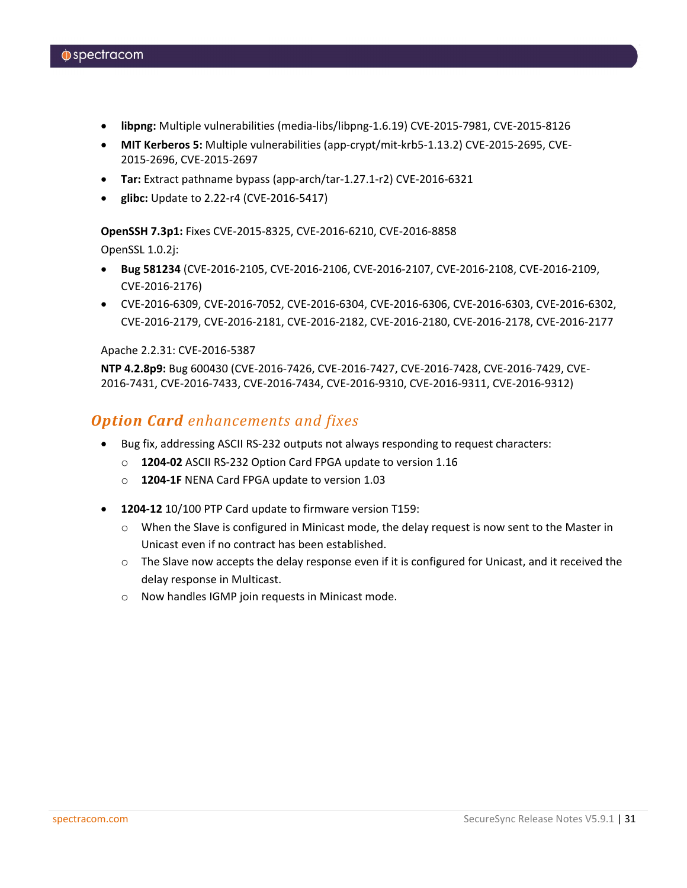- **libpng:** Multiple vulnerabilities (media-libs/libpng-1.6.19) CVE-2015-7981, CVE-2015-8126
- **MIT Kerberos 5:** Multiple vulnerabilities (app-crypt/mit-krb5-1.13.2) CVE-2015-2695, CVE-2015-2696, CVE-2015-2697
- **Tar:** Extract pathname bypass (app-arch/tar-1.27.1-r2) CVE-2016-6321
- **glibc:** Update to 2.22-r4 (CVE-2016-5417)

**OpenSSH 7.3p1:** Fixes CVE-2015-8325, CVE-2016-6210, CVE-2016-8858

OpenSSL 1.0.2j:

- **Bug 581234** (CVE-2016-2105, CVE-2016-2106, CVE-2016-2107, CVE-2016-2108, CVE-2016-2109, CVE-2016-2176)
- CVE-2016-6309, CVE-2016-7052, CVE-2016-6304, CVE-2016-6306, CVE-2016-6303, CVE-2016-6302, CVE-2016-2179, CVE-2016-2181, CVE-2016-2182, CVE-2016-2180, CVE-2016-2178, CVE-2016-2177

#### Apache 2.2.31: CVE-2016-5387

**NTP 4.2.8p9:** Bug 600430 (CVE-2016-7426, CVE-2016-7427, CVE-2016-7428, CVE-2016-7429, CVE-2016-7431, CVE-2016-7433, CVE-2016-7434, CVE-2016-9310, CVE-2016-9311, CVE-2016-9312)

#### *Option Card enhancements and fixes*

- Bug fix, addressing ASCII RS-232 outputs not always responding to request characters:
	- o **1204-02** ASCII RS-232 Option Card FPGA update to version 1.16
	- o **1204-1F** NENA Card FPGA update to version 1.03
- **1204-12** 10/100 PTP Card update to firmware version T159:
	- o When the Slave is configured in Minicast mode, the delay request is now sent to the Master in Unicast even if no contract has been established.
	- $\circ$  The Slave now accepts the delay response even if it is configured for Unicast, and it received the delay response in Multicast.
	- o Now handles IGMP join requests in Minicast mode.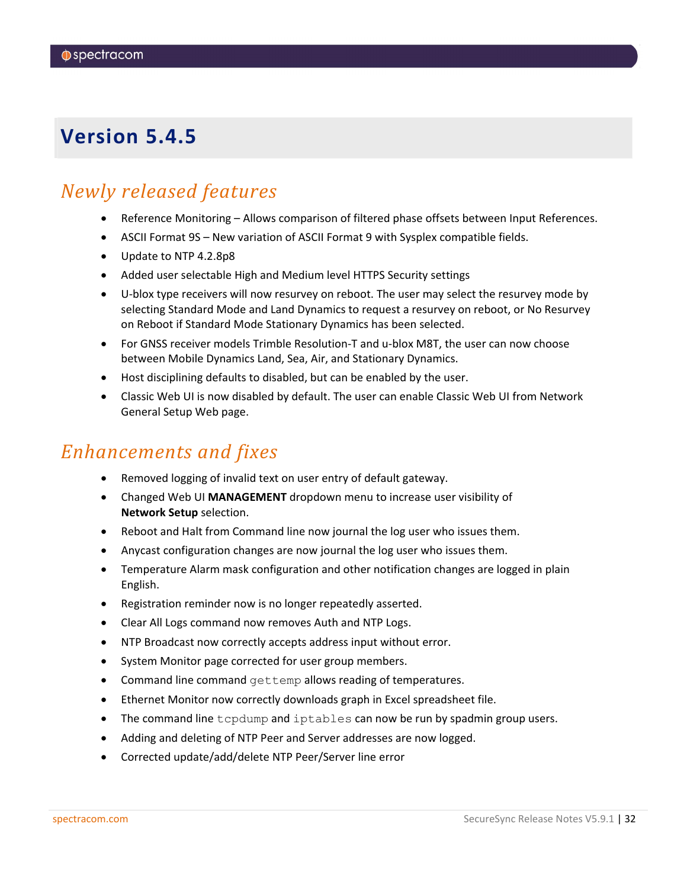### <span id="page-31-0"></span>*Newly released features*

- Reference Monitoring Allows comparison of filtered phase offsets between Input References.
- ASCII Format 9S New variation of ASCII Format 9 with Sysplex compatible fields.
- Update to NTP 4.2.8p8
- Added user selectable High and Medium level HTTPS Security settings
- U-blox type receivers will now resurvey on reboot. The user may select the resurvey mode by selecting Standard Mode and Land Dynamics to request a resurvey on reboot, or No Resurvey on Reboot if Standard Mode Stationary Dynamics has been selected.
- For GNSS receiver models Trimble Resolution-T and u-blox M8T, the user can now choose between Mobile Dynamics Land, Sea, Air, and Stationary Dynamics.
- Host disciplining defaults to disabled, but can be enabled by the user.
- Classic Web UI is now disabled by default. The user can enable Classic Web UI from Network General Setup Web page.

### *Enhancements and fixes*

- Removed logging of invalid text on user entry of default gateway.
- Changed Web UI **MANAGEMENT** dropdown menu to increase user visibility of **Network Setup** selection.
- Reboot and Halt from Command line now journal the log user who issues them.
- Anycast configuration changes are now journal the log user who issues them.
- Temperature Alarm mask configuration and other notification changes are logged in plain English.
- Registration reminder now is no longer repeatedly asserted.
- Clear All Logs command now removes Auth and NTP Logs.
- NTP Broadcast now correctly accepts address input without error.
- System Monitor page corrected for user group members.
- Command line command gettemp allows reading of temperatures.
- Ethernet Monitor now correctly downloads graph in Excel spreadsheet file.
- The command line tcpdump and iptables can now be run by spadmin group users.
- Adding and deleting of NTP Peer and Server addresses are now logged.
- Corrected update/add/delete NTP Peer/Server line error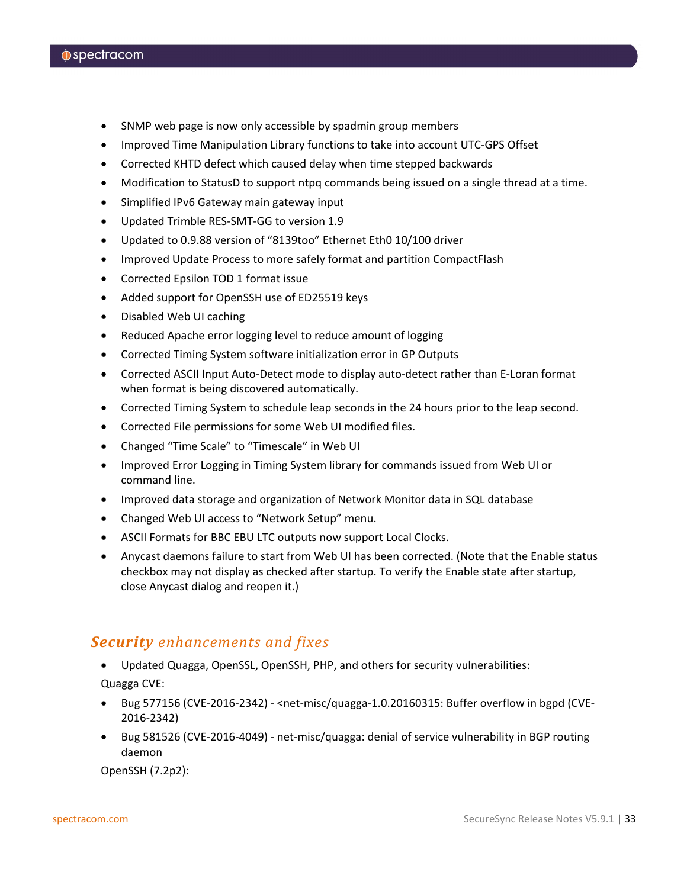- SNMP web page is now only accessible by spadmin group members
- Improved Time Manipulation Library functions to take into account UTC-GPS Offset
- Corrected KHTD defect which caused delay when time stepped backwards
- Modification to StatusD to support ntpq commands being issued on a single thread at a time.
- Simplified IPv6 Gateway main gateway input
- Updated Trimble RES-SMT-GG to version 1.9
- Updated to 0.9.88 version of "8139too" Ethernet Eth0 10/100 driver
- Improved Update Process to more safely format and partition CompactFlash
- Corrected Epsilon TOD 1 format issue
- Added support for OpenSSH use of ED25519 keys
- Disabled Web UI caching
- Reduced Apache error logging level to reduce amount of logging
- Corrected Timing System software initialization error in GP Outputs
- Corrected ASCII Input Auto-Detect mode to display auto-detect rather than E-Loran format when format is being discovered automatically.
- Corrected Timing System to schedule leap seconds in the 24 hours prior to the leap second.
- Corrected File permissions for some Web UI modified files.
- Changed "Time Scale" to "Timescale" in Web UI
- Improved Error Logging in Timing System library for commands issued from Web UI or command line.
- Improved data storage and organization of Network Monitor data in SQL database
- Changed Web UI access to "Network Setup" menu.
- ASCII Formats for BBC EBU LTC outputs now support Local Clocks.
- Anycast daemons failure to start from Web UI has been corrected. (Note that the Enable status checkbox may not display as checked after startup. To verify the Enable state after startup, close Anycast dialog and reopen it.)

#### *Security enhancements and fixes*

- Updated Quagga, OpenSSL, OpenSSH, PHP, and others for security vulnerabilities: Quagga CVE:
- Bug 577156 (CVE-2016-2342) <net-misc/quagga-1.0.20160315: Buffer overflow in bgpd (CVE-2016-2342)
- Bug 581526 (CVE-2016-4049) net-misc/quagga: denial of service vulnerability in BGP routing daemon

OpenSSH (7.2p2):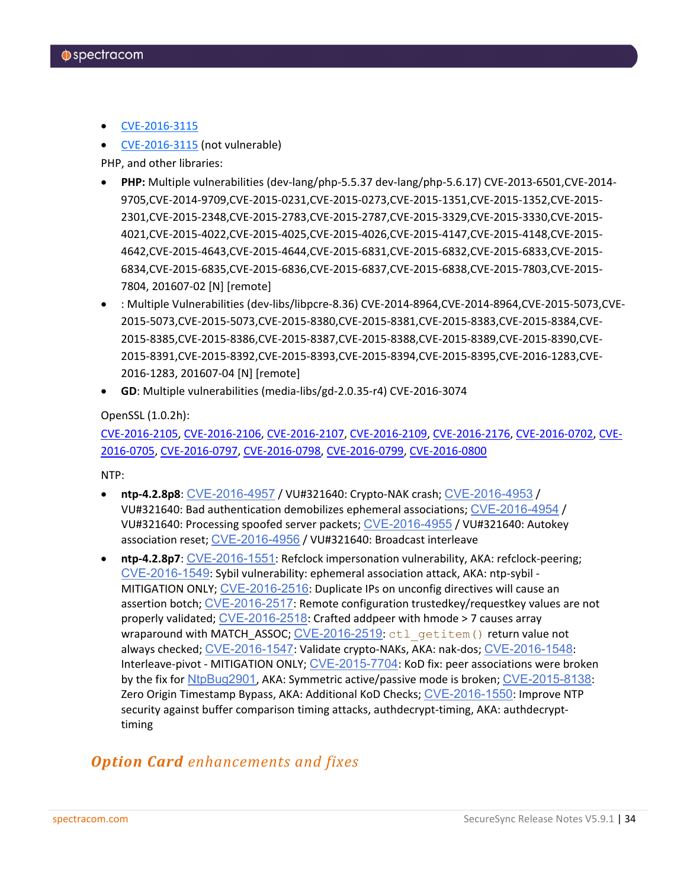- [CVE-2016-3115](https://www.cvedetails.com/cve/CVE-2016-3115/)
- [CVE-2016-3115](https://www.cvedetails.com/cve/CVE-2016-3115/) (not vulnerable)

PHP, and other libraries:

- **PHP:** Multiple vulnerabilities (dev-lang/php-5.5.37 dev-lang/php-5.6.17) CVE-2013-6501,CVE-2014- 9705,CVE-2014-9709,CVE-2015-0231,CVE-2015-0273,CVE-2015-1351,CVE-2015-1352,CVE-2015- 2301,CVE-2015-2348,CVE-2015-2783,CVE-2015-2787,CVE-2015-3329,CVE-2015-3330,CVE-2015- 4021,CVE-2015-4022,CVE-2015-4025,CVE-2015-4026,CVE-2015-4147,CVE-2015-4148,CVE-2015- 4642,CVE-2015-4643,CVE-2015-4644,CVE-2015-6831,CVE-2015-6832,CVE-2015-6833,CVE-2015- 6834,CVE-2015-6835,CVE-2015-6836,CVE-2015-6837,CVE-2015-6838,CVE-2015-7803,CVE-2015- 7804, 201607-02 [N] [remote]
- : Multiple Vulnerabilities (dev-libs/libpcre-8.36) CVE-2014-8964,CVE-2014-8964,CVE-2015-5073,CVE-2015-5073,CVE-2015-5073,CVE-2015-8380,CVE-2015-8381,CVE-2015-8383,CVE-2015-8384,CVE-2015-8385,CVE-2015-8386,CVE-2015-8387,CVE-2015-8388,CVE-2015-8389,CVE-2015-8390,CVE-2015-8391,CVE-2015-8392,CVE-2015-8393,CVE-2015-8394,CVE-2015-8395,CVE-2016-1283,CVE-2016-1283, 201607-04 [N] [remote]
- **GD**: Multiple vulnerabilities (media-libs/gd-2.0.35-r4) CVE-2016-3074

OpenSSL (1.0.2h):

[CVE-2016-2105,](https://cve.mitre.org/cgi-bin/cvename.cgi?name=CVE-2016-2105) [CVE-2016-2106,](https://cve.mitre.org/cgi-bin/cvename.cgi?name=CVE-2016-2106) [CVE-2016-2107,](https://cve.mitre.org/cgi-bin/cvename.cgi?name=CVE-2016-2107) [CVE-2016-2109,](https://cve.mitre.org/cgi-bin/cvename.cgi?name=CVE-2016-2109) [CVE-2016-2176,](https://cve.mitre.org/cgi-bin/cvename.cgi?name=CVE-2016-2176) [CVE-2016-0702,](https://cve.mitre.org/cgi-bin/cvename.cgi?name=CVE-2016-0702) [CVE-](https://cve.mitre.org/cgi-bin/cvename.cgi?name=CVE-2016-0705)[2016-0705,](https://cve.mitre.org/cgi-bin/cvename.cgi?name=CVE-2016-0705) [CVE-2016-0797,](https://cve.mitre.org/cgi-bin/cvename.cgi?name=CVE-2016-0797) [CVE-2016-0798,](https://cve.mitre.org/cgi-bin/cvename.cgi?name=CVE-2016-0798) [CVE-2016-0799,](https://cve.mitre.org/cgi-bin/cvename.cgi?name=CVE-2016-0799) [CVE-2016-0800](https://cve.mitre.org/cgi-bin/cvename.cgi?name=CVE-2016-0800)

NTP:

- **ntp-4.2.8p8**: [CVE-2016-4957](http://web.nvd.nist.gov/view/vuln/detail?vulnId=CVE-2016-4957) / VU#321640: Crypto-NAK crash; [CVE-2016-4953](http://web.nvd.nist.gov/view/vuln/detail?vulnId=CVE-2016-4953) / VU#321640: Bad authentication demobilizes ephemeral associations; [CVE-2016-4954](http://web.nvd.nist.gov/view/vuln/detail?vulnId=CVE-2016-4954) / VU#321640: Processing spoofed server packets; [CVE-2016-4955](http://web.nvd.nist.gov/view/vuln/detail?vulnId=CVE-2016-4955) / VU#321640: Autokey association reset; [CVE-2016-4956](http://web.nvd.nist.gov/view/vuln/detail?vulnId=CVE-2016-4956) / VU#321640: Broadcast interleave
- **ntp-4.2.8p7**: [CVE-2016-1551](http://web.nvd.nist.gov/view/vuln/detail?vulnId=CVE-2016-1551): Refclock impersonation vulnerability, AKA: refclock-peering; [CVE-2016-1549](http://web.nvd.nist.gov/view/vuln/detail?vulnId=CVE-2016-1549): Sybil vulnerability: ephemeral association attack, AKA: ntp-sybil - MITIGATION ONLY; [CVE-2016-2516](http://web.nvd.nist.gov/view/vuln/detail?vulnId=CVE-2016-2516): Duplicate IPs on unconfig directives will cause an assertion botch; [CVE-2016-2517](http://web.nvd.nist.gov/view/vuln/detail?vulnId=CVE-2016-2517): Remote configuration trustedkey/requestkey values are not properly validated; [CVE-2016-2518](http://web.nvd.nist.gov/view/vuln/detail?vulnId=CVE-2016-2518): Crafted addpeer with hmode > 7 causes array wraparound with MATCH\_ASSOC; [CVE-2016-2519](http://web.nvd.nist.gov/view/vuln/detail?vulnId=CVE-2016-2519): ctl\_getitem() return value not always checked; [CVE-2016-1547](http://web.nvd.nist.gov/view/vuln/detail?vulnId=CVE-2016-1547): Validate crypto-NAKs, AKA: nak-dos; [CVE-2016-1548](http://web.nvd.nist.gov/view/vuln/detail?vulnId=CVE-2016-1548): Interleave-pivot - MITIGATION ONLY; [CVE-2015-7704](http://web.nvd.nist.gov/view/vuln/detail?vulnId=CVE-2015-7704): KoD fix: peer associations were broken by the fix for [NtpBug2901](http://support.ntp.org/bin/view/Main/NtpBug2901), AKA: Symmetric active/passive mode is broken; [CVE-2015-8138](http://web.nvd.nist.gov/view/vuln/detail?vulnId=CVE-2015-8138): Zero Origin Timestamp Bypass, AKA: Additional KoD Checks; [CVE-2016-1550](http://web.nvd.nist.gov/view/vuln/detail?vulnId=CVE-2016-1550): Improve NTP security against buffer comparison timing attacks, authdecrypt-timing, AKA: authdecrypttiming

### *Option Card enhancements and fixes*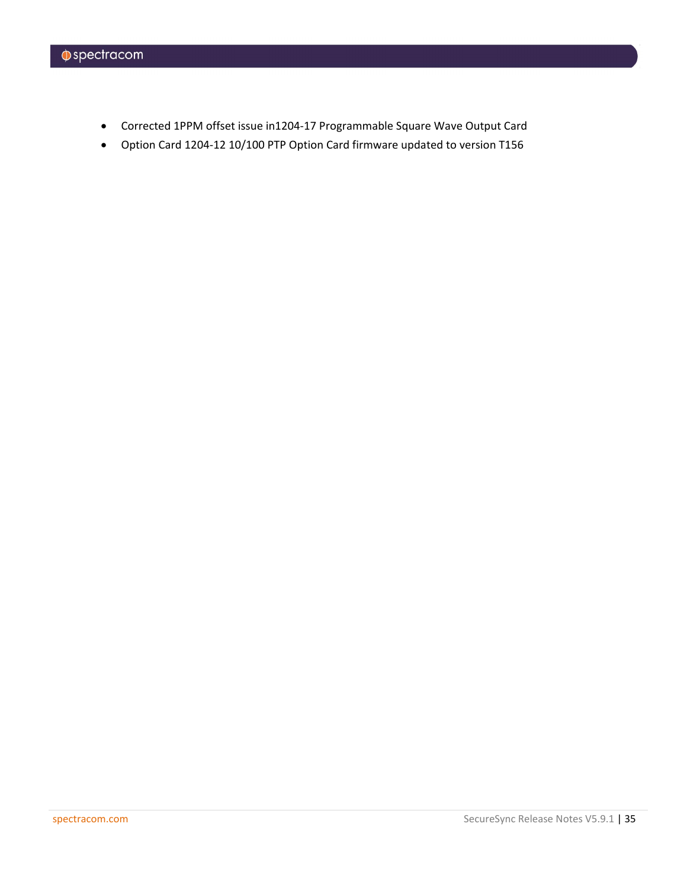- Corrected 1PPM offset issue in1204-17 Programmable Square Wave Output Card
- Option Card 1204-12 10/100 PTP Option Card firmware updated to version T156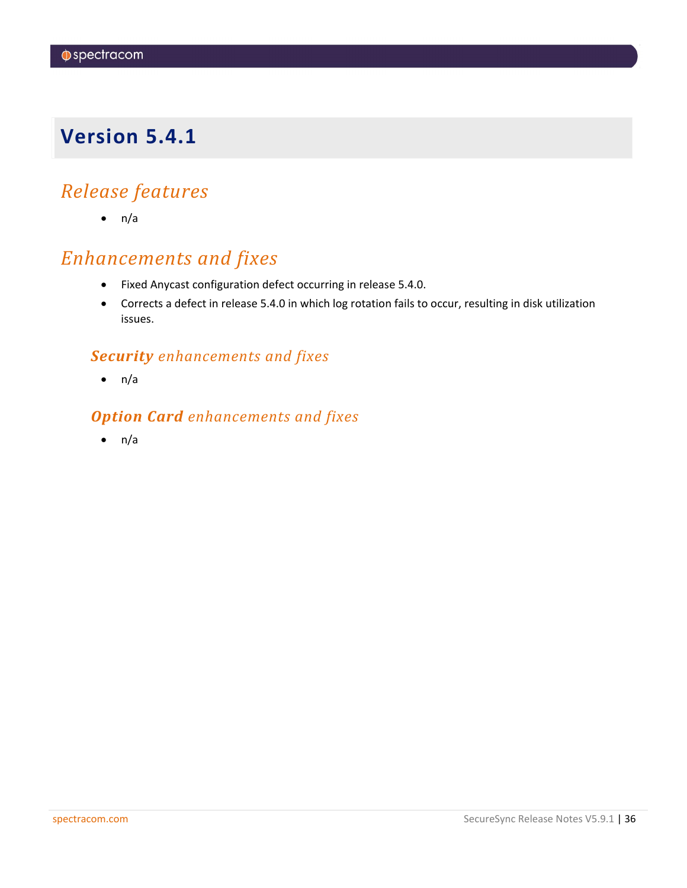## <span id="page-35-0"></span>*Release features*

 $\bullet$  n/a

## *Enhancements and fixes*

- Fixed Anycast configuration defect occurring in release 5.4.0.
- Corrects a defect in release 5.4.0 in which log rotation fails to occur, resulting in disk utilization issues.

### *Security enhancements and fixes*

 $\bullet$  n/a

### *Option Card enhancements and fixes*

 $\bullet$  n/a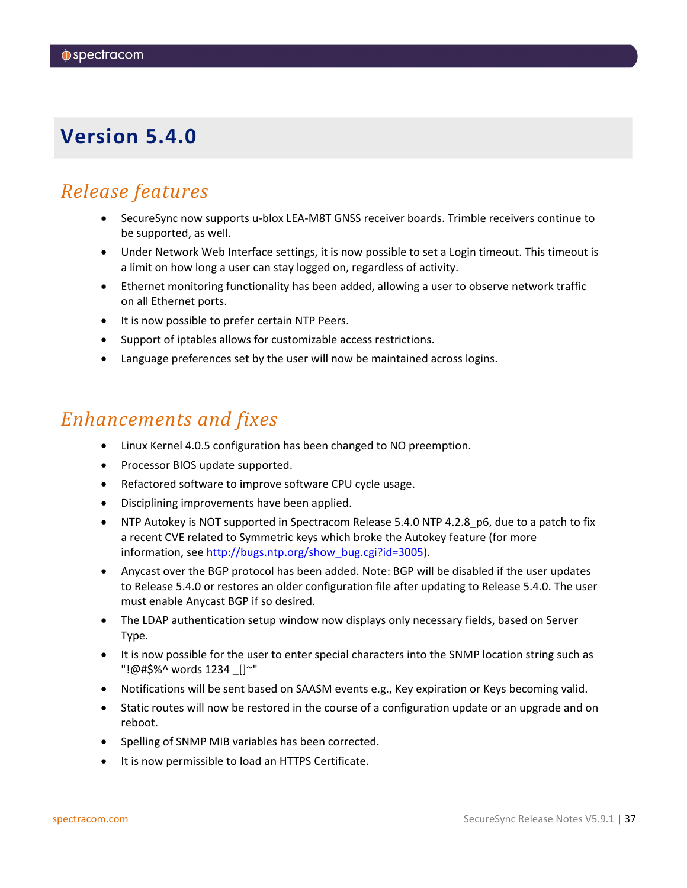## <span id="page-36-0"></span>*Release features*

- SecureSync now supports u-blox LEA-M8T GNSS receiver boards. Trimble receivers continue to be supported, as well.
- Under Network Web Interface settings, it is now possible to set a Login timeout. This timeout is a limit on how long a user can stay logged on, regardless of activity.
- Ethernet monitoring functionality has been added, allowing a user to observe network traffic on all Ethernet ports.
- It is now possible to prefer certain NTP Peers.
- Support of iptables allows for customizable access restrictions.
- Language preferences set by the user will now be maintained across logins.

### *Enhancements and fixes*

- Linux Kernel 4.0.5 configuration has been changed to NO preemption.
- Processor BIOS update supported.
- Refactored software to improve software CPU cycle usage.
- Disciplining improvements have been applied.
- NTP Autokey is NOT supported in Spectracom Release 5.4.0 NTP 4.2.8 p6, due to a patch to fix a recent CVE related to Symmetric keys which broke the Autokey feature (for more information, see [http://bugs.ntp.org/show\\_bug.cgi?id=3005\)](http://bugs.ntp.org/show_bug.cgi?id=3005).
- Anycast over the BGP protocol has been added. Note: BGP will be disabled if the user updates to Release 5.4.0 or restores an older configuration file after updating to Release 5.4.0. The user must enable Anycast BGP if so desired.
- The LDAP authentication setup window now displays only necessary fields, based on Server Type.
- It is now possible for the user to enter special characters into the SNMP location string such as "!@#\$%^ words 1234 \_[]~"
- Notifications will be sent based on SAASM events e.g., Key expiration or Keys becoming valid.
- Static routes will now be restored in the course of a configuration update or an upgrade and on reboot.
- Spelling of SNMP MIB variables has been corrected.
- It is now permissible to load an HTTPS Certificate.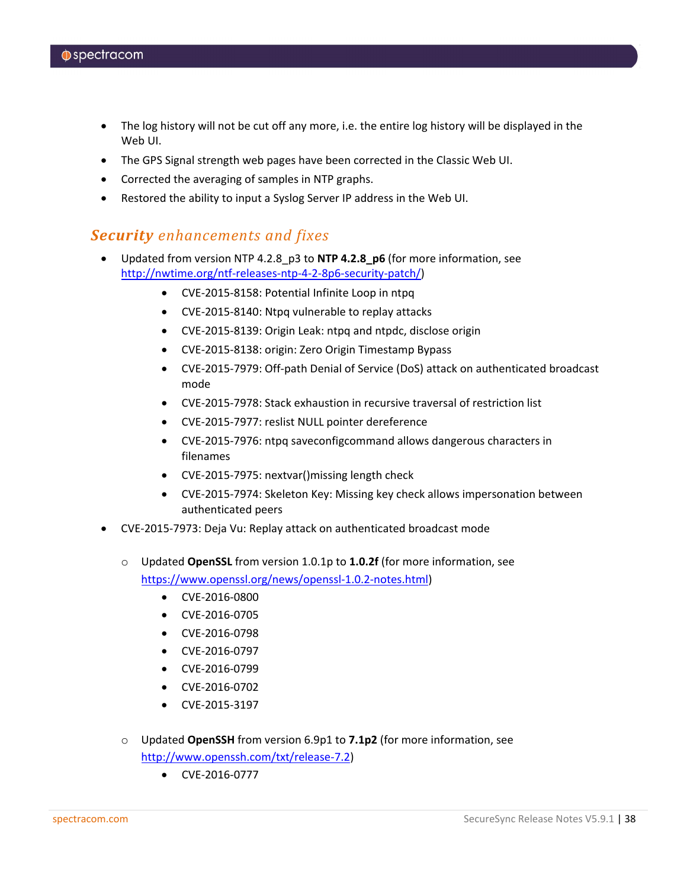- The log history will not be cut off any more, i.e. the entire log history will be displayed in the Web UI.
- The GPS Signal strength web pages have been corrected in the Classic Web UI.
- Corrected the averaging of samples in NTP graphs.
- Restored the ability to input a Syslog Server IP address in the Web UI.

#### *Security enhancements and fixes*

- Updated from version NTP 4.2.8\_p3 to **NTP 4.2.8\_p6** (for more information, see [http://nwtime.org/ntf-releases-ntp-4-2-8p6-security-patch/\)](http://nwtime.org/ntf-releases-ntp-4-2-8p6-security-patch/)
	- CVE-2015-8158: Potential Infinite Loop in ntpq
	- CVE-2015-8140: Ntpq vulnerable to replay attacks
	- CVE-2015-8139: Origin Leak: ntpq and ntpdc, disclose origin
	- CVE-2015-8138: origin: Zero Origin Timestamp Bypass
	- CVE-2015-7979: Off-path Denial of Service (DoS) attack on authenticated broadcast mode
	- CVE-2015-7978: Stack exhaustion in recursive traversal of restriction list
	- CVE-2015-7977: reslist NULL pointer dereference
	- CVE-2015-7976: ntpq saveconfigcommand allows dangerous characters in filenames
	- CVE-2015-7975: nextvar()missing length check
	- CVE-2015-7974: Skeleton Key: Missing key check allows impersonation between authenticated peers
- CVE-2015-7973: Deja Vu: Replay attack on authenticated broadcast mode
	- o Updated **OpenSSL** from version 1.0.1p to **1.0.2f** (for more information, see [https://www.openssl.org/news/openssl-1.0.2-notes.html\)](https://www.openssl.org/news/openssl-1.0.2-notes.html)
		- CVE-2016-0800
		- CVE-2016-0705
		- CVE-2016-0798
		- CVE-2016-0797
		- CVE-2016-0799
		- CVE-2016-0702
		- CVE-2015-3197
	- o Updated **OpenSSH** from version 6.9p1 to **7.1p2** (for more information, see [http://www.openssh.com/txt/release-7.2\)](http://www.openssh.com/txt/release-7.2)
		- CVE-2016-0777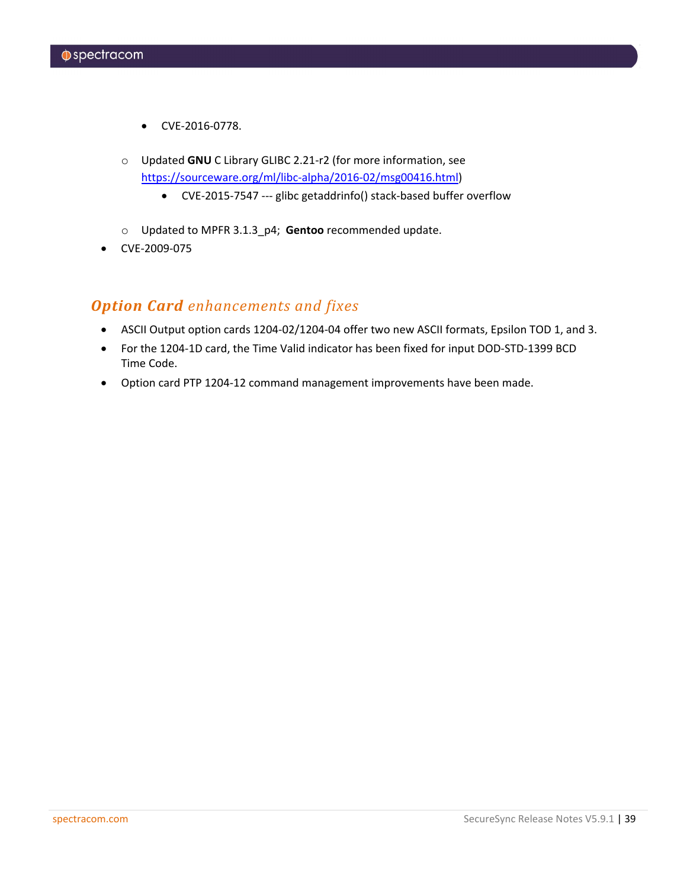- CVE-2016-0778.
- o Updated **GNU** C Library GLIBC 2.21-r2 (for more information, see [https://sourceware.org/ml/libc-alpha/2016-02/msg00416.html\)](https://sourceware.org/ml/libc-alpha/2016-02/msg00416.html)
	- CVE-2015-7547 --- glibc getaddrinfo() stack-based buffer overflow
- o Updated to MPFR 3.1.3\_p4; **Gentoo** recommended update.
- CVE-2009-075

### *Option Card enhancements and fixes*

- ASCII Output option cards 1204-02/1204-04 offer two new ASCII formats, Epsilon TOD 1, and 3.
- For the 1204-1D card, the Time Valid indicator has been fixed for input DOD-STD-1399 BCD Time Code.
- Option card PTP 1204-12 command management improvements have been made.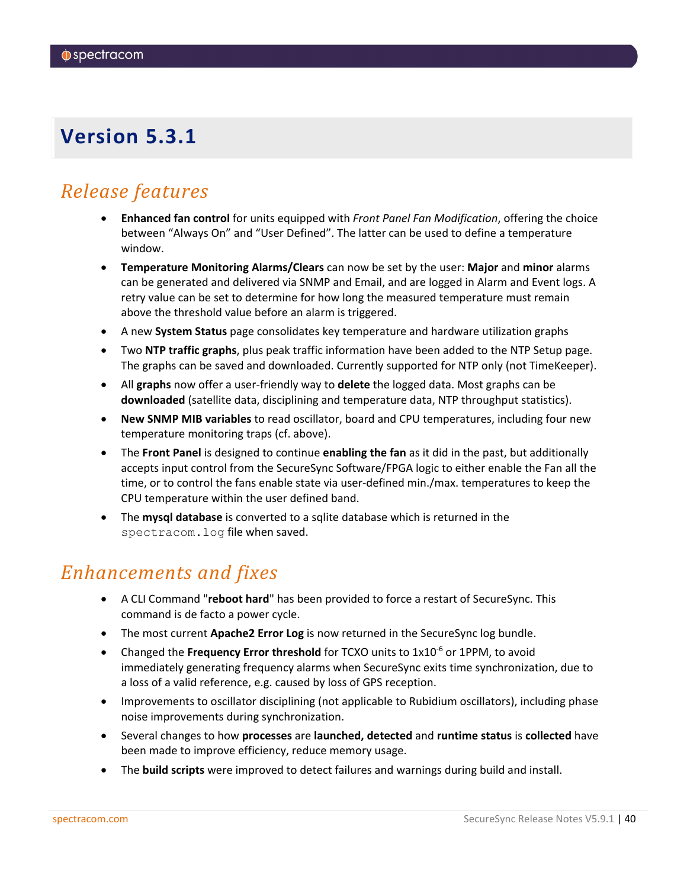### <span id="page-39-0"></span>*Release features*

- **Enhanced fan control** for units equipped with *Front Panel Fan Modification*, offering the choice between "Always On" and "User Defined". The latter can be used to define a temperature window.
- **Temperature Monitoring Alarms/Clears** can now be set by the user: **Major** and **minor** alarms can be generated and delivered via SNMP and Email, and are logged in Alarm and Event logs. A retry value can be set to determine for how long the measured temperature must remain above the threshold value before an alarm is triggered.
- A new **System Status** page consolidates key temperature and hardware utilization graphs
- Two **NTP traffic graphs**, plus peak traffic information have been added to the NTP Setup page. The graphs can be saved and downloaded. Currently supported for NTP only (not TimeKeeper).
- All **graphs** now offer a user-friendly way to **delete** the logged data. Most graphs can be **downloaded** (satellite data, disciplining and temperature data, NTP throughput statistics).
- **New SNMP MIB variables** to read oscillator, board and CPU temperatures, including four new temperature monitoring traps (cf. above).
- The **Front Panel** is designed to continue **enabling the fan** as it did in the past, but additionally accepts input control from the SecureSync Software/FPGA logic to either enable the Fan all the time, or to control the fans enable state via user-defined min./max. temperatures to keep the CPU temperature within the user defined band.
- The **mysql database** is converted to a sqlite database which is returned in the spectracom.log file when saved.

### *Enhancements and fixes*

- A CLI Command "**reboot hard**" has been provided to force a restart of SecureSync. This command is de facto a power cycle.
- The most current **Apache2 Error Log** is now returned in the SecureSync log bundle.
- Changed the **Frequency Error threshold** for TCXO units to 1x10<sup>-6</sup> or 1PPM, to avoid immediately generating frequency alarms when SecureSync exits time synchronization, due to a loss of a valid reference, e.g. caused by loss of GPS reception.
- Improvements to oscillator disciplining (not applicable to Rubidium oscillators), including phase noise improvements during synchronization.
- Several changes to how **processes** are **launched, detected** and **runtime status** is **collected** have been made to improve efficiency, reduce memory usage.
- The **build scripts** were improved to detect failures and warnings during build and install.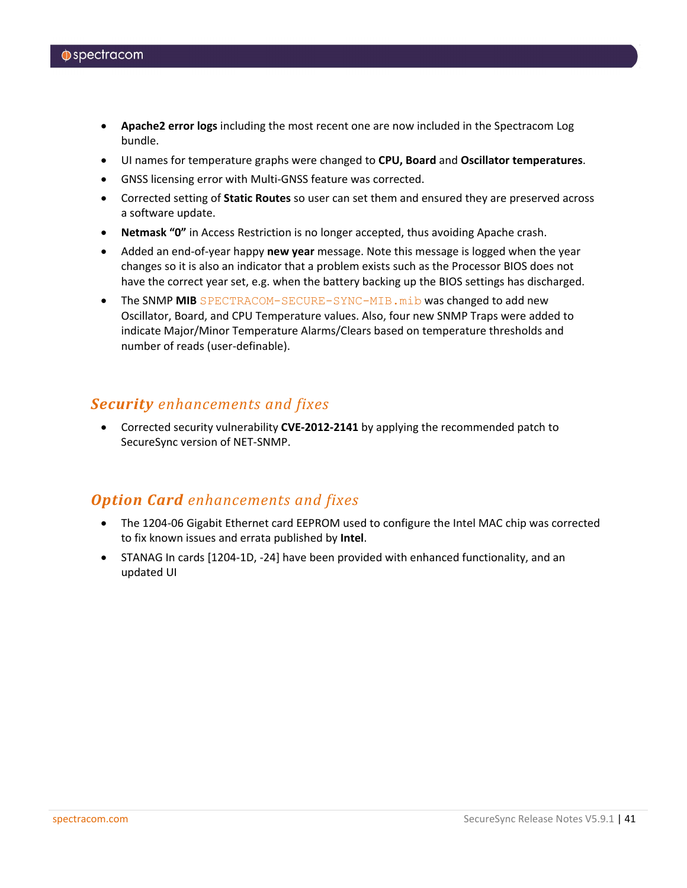- **Apache2 error logs** including the most recent one are now included in the Spectracom Log bundle.
- UI names for temperature graphs were changed to **CPU, Board** and **Oscillator temperatures**.
- GNSS licensing error with Multi-GNSS feature was corrected.
- Corrected setting of **Static Routes** so user can set them and ensured they are preserved across a software update.
- **Netmask "0"** in Access Restriction is no longer accepted, thus avoiding Apache crash.
- Added an end-of-year happy **new year** message. Note this message is logged when the year changes so it is also an indicator that a problem exists such as the Processor BIOS does not have the correct year set, e.g. when the battery backing up the BIOS settings has discharged.
- The SNMP MIB SPECTRACOM-SECURE-SYNC-MIB.mib was changed to add new Oscillator, Board, and CPU Temperature values. Also, four new SNMP Traps were added to indicate Major/Minor Temperature Alarms/Clears based on temperature thresholds and number of reads (user-definable).

#### *Security enhancements and fixes*

• Corrected security vulnerability **CVE-2012-2141** by applying the recommended patch to SecureSync version of NET-SNMP.

### *Option Card enhancements and fixes*

- The 1204-06 Gigabit Ethernet card EEPROM used to configure the Intel MAC chip was corrected to fix known issues and errata published by **Intel**.
- STANAG In cards [1204-1D, -24] have been provided with enhanced functionality, and an updated UI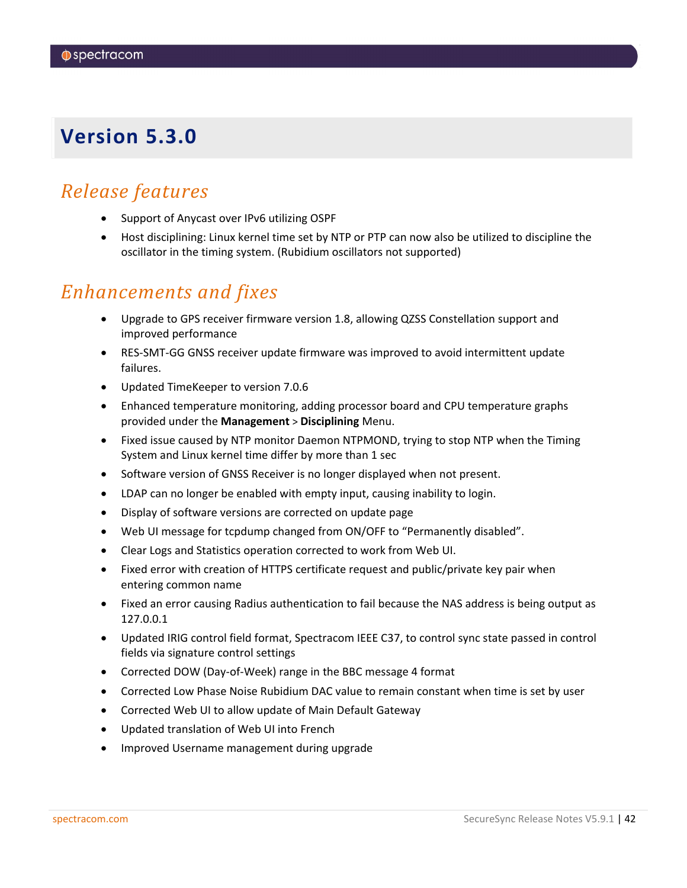### <span id="page-41-0"></span>*Release features*

- Support of Anycast over IPv6 utilizing OSPF
- Host disciplining: Linux kernel time set by NTP or PTP can now also be utilized to discipline the oscillator in the timing system. (Rubidium oscillators not supported)

### *Enhancements and fixes*

- Upgrade to GPS receiver firmware version 1.8, allowing QZSS Constellation support and improved performance
- RES-SMT-GG GNSS receiver update firmware was improved to avoid intermittent update failures.
- Updated TimeKeeper to version 7.0.6
- Enhanced temperature monitoring, adding processor board and CPU temperature graphs provided under the **Management** > **Disciplining** Menu.
- Fixed issue caused by NTP monitor Daemon NTPMOND, trying to stop NTP when the Timing System and Linux kernel time differ by more than 1 sec
- Software version of GNSS Receiver is no longer displayed when not present.
- LDAP can no longer be enabled with empty input, causing inability to login.
- Display of software versions are corrected on update page
- Web UI message for tcpdump changed from ON/OFF to "Permanently disabled".
- Clear Logs and Statistics operation corrected to work from Web UI.
- Fixed error with creation of HTTPS certificate request and public/private key pair when entering common name
- Fixed an error causing Radius authentication to fail because the NAS address is being output as 127.0.0.1
- Updated IRIG control field format, Spectracom IEEE C37, to control sync state passed in control fields via signature control settings
- Corrected DOW (Day-of-Week) range in the BBC message 4 format
- Corrected Low Phase Noise Rubidium DAC value to remain constant when time is set by user
- Corrected Web UI to allow update of Main Default Gateway
- Updated translation of Web UI into French
- Improved Username management during upgrade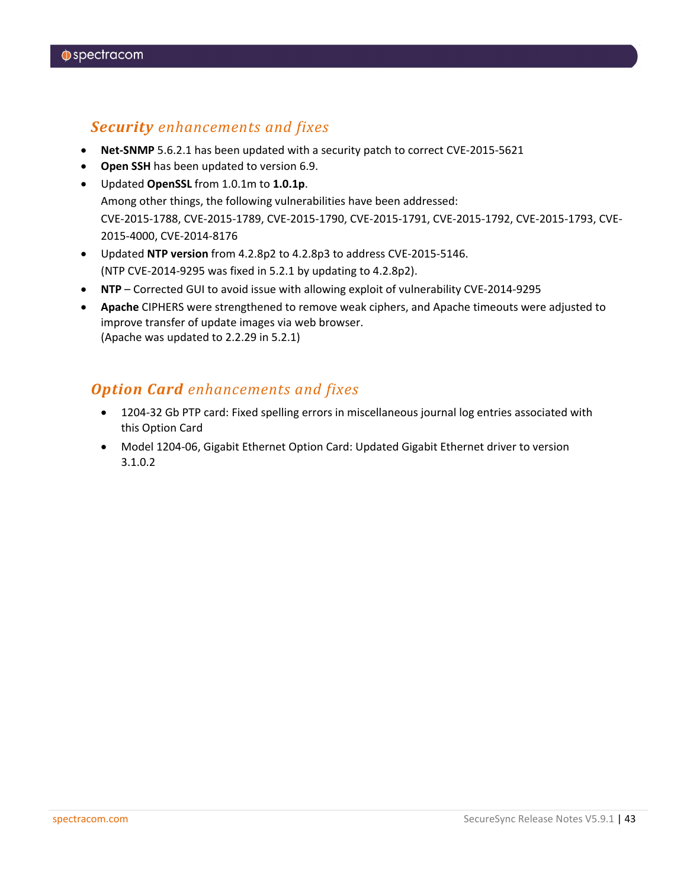### *Security enhancements and fixes*

- **Net-SNMP** 5.6.2.1 has been updated with a security patch to correct CVE-2015-5621
- **Open SSH** has been updated to version 6.9.
- Updated **OpenSSL** from 1.0.1m to **1.0.1p**. Among other things, the following vulnerabilities have been addressed: CVE-2015-1788, CVE-2015-1789, CVE-2015-1790, CVE-2015-1791, CVE-2015-1792, CVE-2015-1793, CVE-2015-4000, CVE-2014-8176
- Updated **NTP version** from 4.2.8p2 to 4.2.8p3 to address CVE-2015-5146. (NTP CVE-2014-9295 was fixed in 5.2.1 by updating to 4.2.8p2).
- **NTP** Corrected GUI to avoid issue with allowing exploit of vulnerability CVE-2014-9295
- **Apache** CIPHERS were strengthened to remove weak ciphers, and Apache timeouts were adjusted to improve transfer of update images via web browser. (Apache was updated to 2.2.29 in 5.2.1)

### *Option Card enhancements and fixes*

- 1204-32 Gb PTP card: Fixed spelling errors in miscellaneous journal log entries associated with this Option Card
- Model 1204-06, Gigabit Ethernet Option Card: Updated Gigabit Ethernet driver to version 3.1.0.2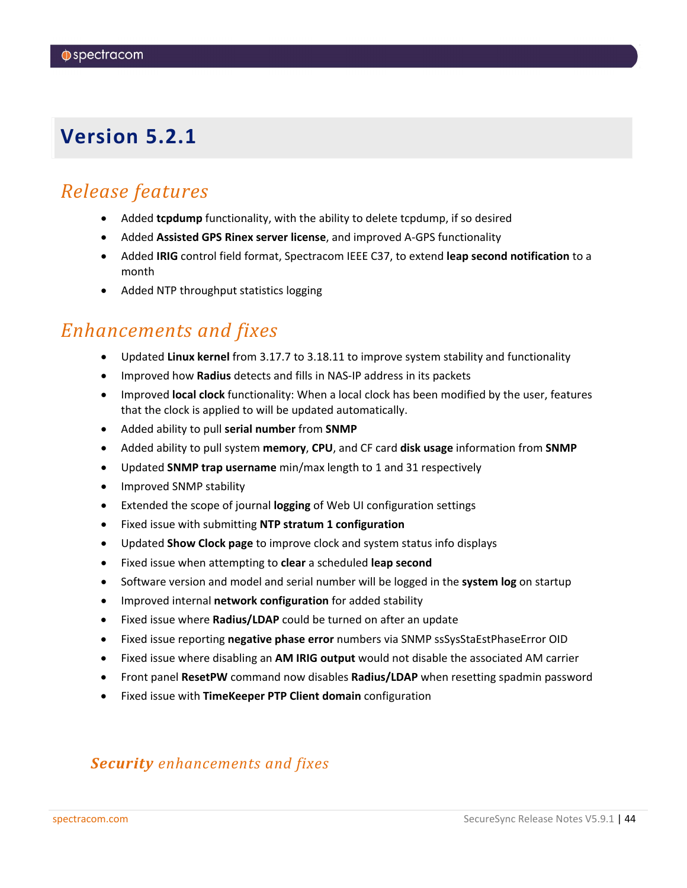### <span id="page-43-0"></span>*Release features*

- Added **tcpdump** functionality, with the ability to delete tcpdump, if so desired
- Added **Assisted GPS Rinex server license**, and improved A-GPS functionality
- Added **IRIG** control field format, Spectracom IEEE C37, to extend **leap second notification** to a month
- Added NTP throughput statistics logging

## *Enhancements and fixes*

- Updated **Linux kernel** from 3.17.7 to 3.18.11 to improve system stability and functionality
- Improved how **Radius** detects and fills in NAS-IP address in its packets
- Improved **local clock** functionality: When a local clock has been modified by the user, features that the clock is applied to will be updated automatically.
- Added ability to pull **serial number** from **SNMP**
- Added ability to pull system **memory**, **CPU**, and CF card **disk usage** information from **SNMP**
- Updated **SNMP trap username** min/max length to 1 and 31 respectively
- Improved SNMP stability
- Extended the scope of journal **logging** of Web UI configuration settings
- Fixed issue with submitting **NTP stratum 1 configuration**
- Updated **Show Clock page** to improve clock and system status info displays
- Fixed issue when attempting to **clear** a scheduled **leap second**
- Software version and model and serial number will be logged in the **system log** on startup
- Improved internal **network configuration** for added stability
- Fixed issue where **Radius/LDAP** could be turned on after an update
- Fixed issue reporting **negative phase error** numbers via SNMP ssSysStaEstPhaseError OID
- Fixed issue where disabling an **AM IRIG output** would not disable the associated AM carrier
- Front panel **ResetPW** command now disables **Radius/LDAP** when resetting spadmin password
- Fixed issue with **TimeKeeper PTP Client domain** configuration

### *Security enhancements and fixes*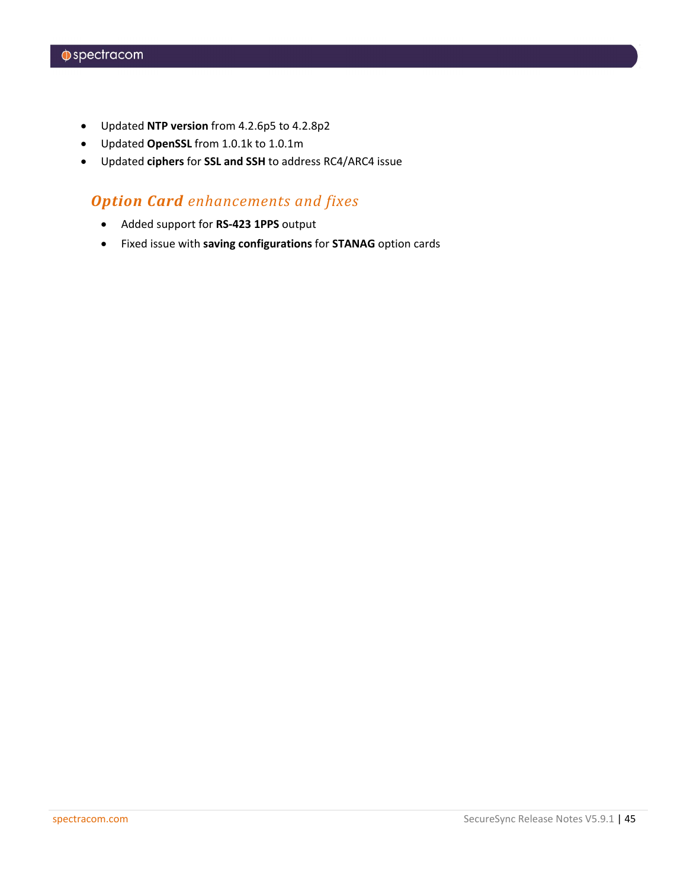- Updated **NTP version** from 4.2.6p5 to 4.2.8p2
- Updated **OpenSSL** from 1.0.1k to 1.0.1m
- Updated **ciphers** for **SSL and SSH** to address RC4/ARC4 issue

### *Option Card enhancements and fixes*

- Added support for **RS-423 1PPS** output
- Fixed issue with **saving configurations** for **STANAG** option cards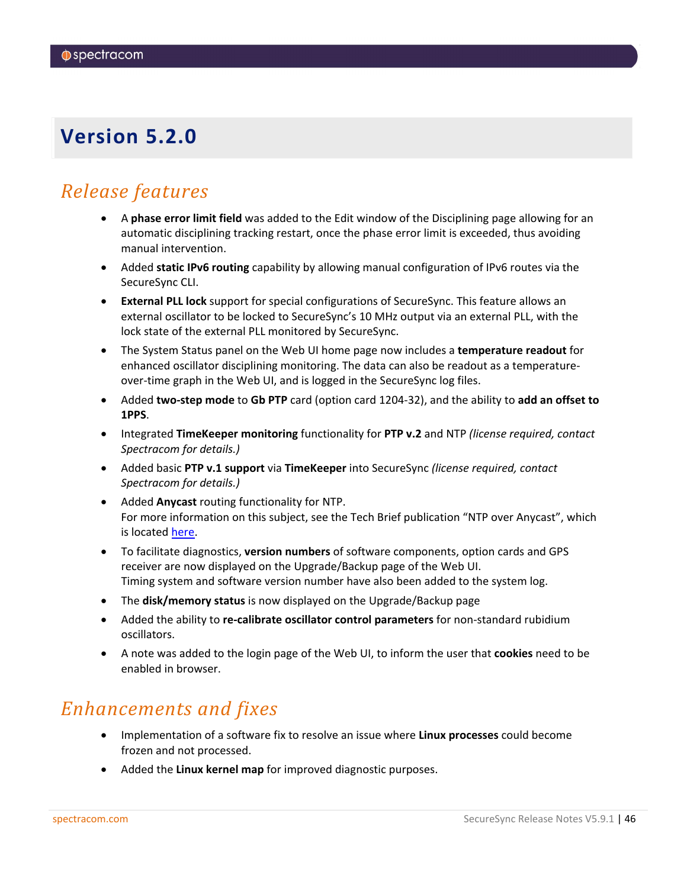## <span id="page-45-0"></span>*Release features*

- A **phase error limit field** was added to the Edit window of the Disciplining page allowing for an automatic disciplining tracking restart, once the phase error limit is exceeded, thus avoiding manual intervention.
- Added **static IPv6 routing** capability by allowing manual configuration of IPv6 routes via the SecureSync CLI.
- **External PLL lock** support for special configurations of SecureSync. This feature allows an external oscillator to be locked to SecureSync's 10 MHz output via an external PLL, with the lock state of the external PLL monitored by SecureSync.
- The System Status panel on the Web UI home page now includes a **temperature readout** for enhanced oscillator disciplining monitoring. The data can also be readout as a temperatureover-time graph in the Web UI, and is logged in the SecureSync log files.
- Added **two-step mode** to **Gb PTP** card (option card 1204-32), and the ability to **add an offset to 1PPS**.
- Integrated **TimeKeeper monitoring** functionality for **PTP v.2** and NTP *(license required, contact Spectracom for details.)*
- Added basic **PTP v.1 support** via **TimeKeeper** into SecureSync *(license required, contact Spectracom for details.)*
- Added **Anycast** routing functionality for NTP. For more information on this subject, see the Tech Brief publication "NTP over Anycast", which is located [here.](http://www.spectracomcorp.com/Support/HowCanWeHelpYou/Library/tabid/59/Default.aspx?EntryId=1684)
- To facilitate diagnostics, **version numbers** of software components, option cards and GPS receiver are now displayed on the Upgrade/Backup page of the Web UI. Timing system and software version number have also been added to the system log.
- The **disk/memory status** is now displayed on the Upgrade/Backup page
- Added the ability to **re-calibrate oscillator control parameters** for non-standard rubidium oscillators.
- A note was added to the login page of the Web UI, to inform the user that **cookies** need to be enabled in browser.

## *Enhancements and fixes*

- Implementation of a software fix to resolve an issue where **Linux processes** could become frozen and not processed.
- Added the **Linux kernel map** for improved diagnostic purposes.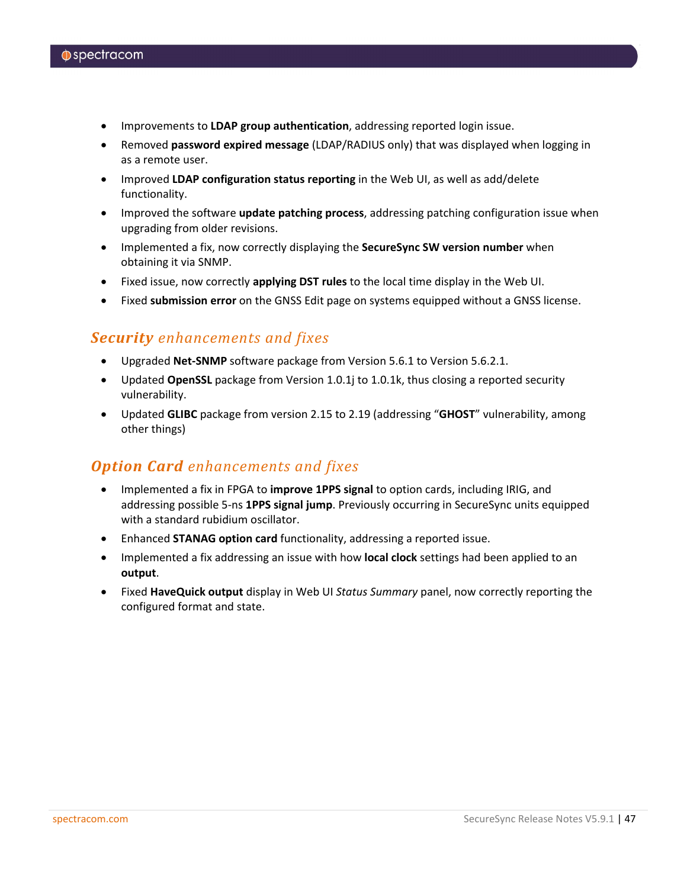- Improvements to **LDAP group authentication**, addressing reported login issue.
- Removed **password expired message** (LDAP/RADIUS only) that was displayed when logging in as a remote user.
- Improved **LDAP configuration status reporting** in the Web UI, as well as add/delete functionality.
- Improved the software **update patching process**, addressing patching configuration issue when upgrading from older revisions.
- Implemented a fix, now correctly displaying the **SecureSync SW version number** when obtaining it via SNMP.
- Fixed issue, now correctly **applying DST rules** to the local time display in the Web UI.
- Fixed **submission error** on the GNSS Edit page on systems equipped without a GNSS license.

#### *Security enhancements and fixes*

- Upgraded **Net-SNMP** software package from Version 5.6.1 to Version 5.6.2.1.
- Updated **OpenSSL** package from Version 1.0.1j to 1.0.1k, thus closing a reported security vulnerability.
- Updated **GLIBC** package from version 2.15 to 2.19 (addressing "**GHOST**" vulnerability, among other things)

### *Option Card enhancements and fixes*

- Implemented a fix in FPGA to **improve 1PPS signal** to option cards, including IRIG, and addressing possible 5-ns **1PPS signal jump**. Previously occurring in SecureSync units equipped with a standard rubidium oscillator.
- Enhanced **STANAG option card** functionality, addressing a reported issue.
- Implemented a fix addressing an issue with how **local clock** settings had been applied to an **output**.
- Fixed **HaveQuick output** display in Web UI *Status Summary* panel, now correctly reporting the configured format and state.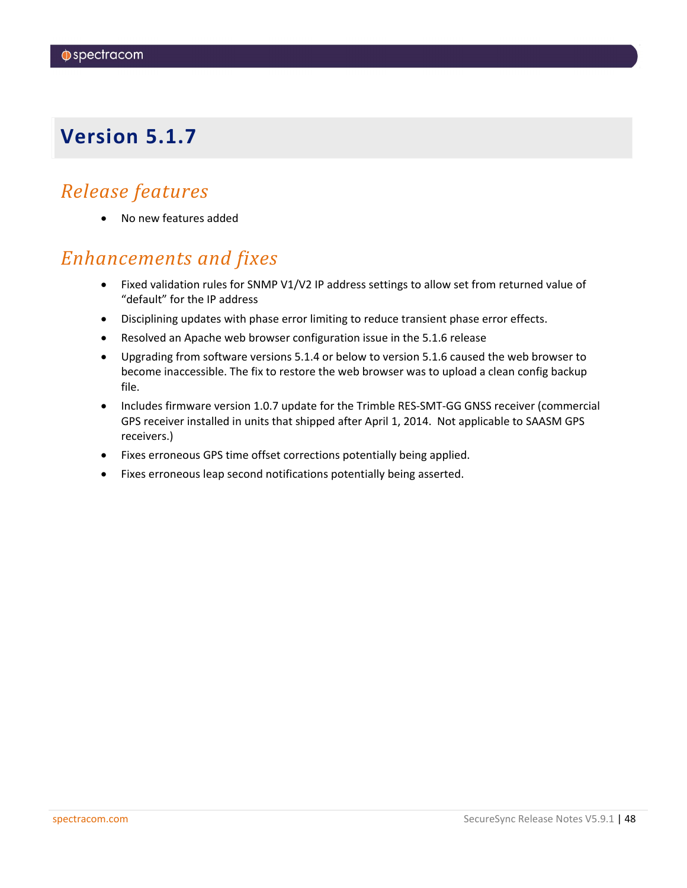## <span id="page-47-0"></span>*Release features*

• No new features added

## *Enhancements and fixes*

- Fixed validation rules for SNMP V1/V2 IP address settings to allow set from returned value of "default" for the IP address
- Disciplining updates with phase error limiting to reduce transient phase error effects.
- Resolved an Apache web browser configuration issue in the 5.1.6 release
- Upgrading from software versions 5.1.4 or below to version 5.1.6 caused the web browser to become inaccessible. The fix to restore the web browser was to upload a clean config backup file.
- Includes firmware version 1.0.7 update for the Trimble RES-SMT-GG GNSS receiver (commercial GPS receiver installed in units that shipped after April 1, 2014. Not applicable to SAASM GPS receivers.)
- Fixes erroneous GPS time offset corrections potentially being applied.
- Fixes erroneous leap second notifications potentially being asserted.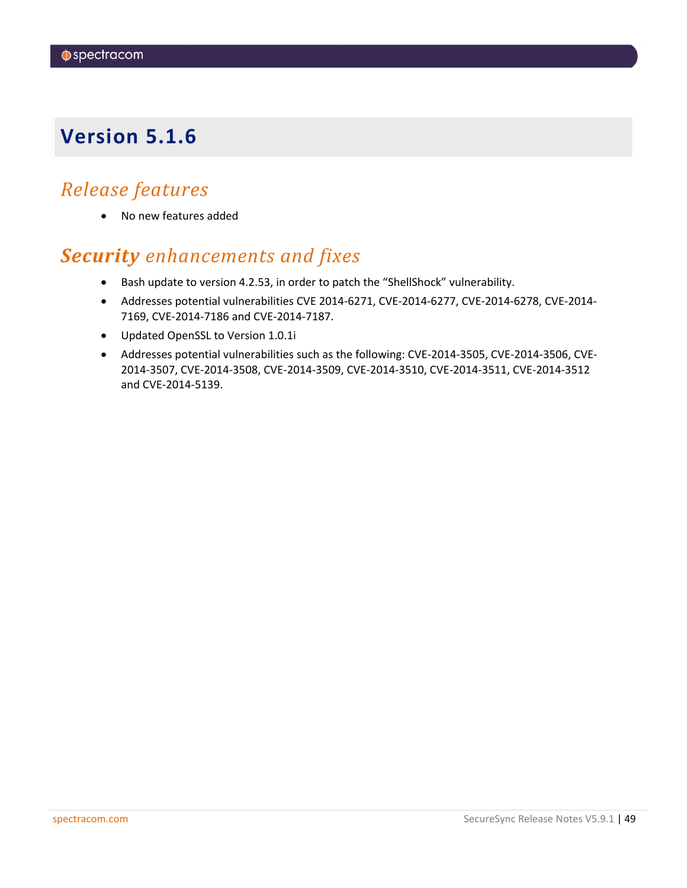## <span id="page-48-0"></span>*Release features*

• No new features added

## *Security enhancements and fixes*

- Bash update to version 4.2.53, in order to patch the "ShellShock" vulnerability.
- Addresses potential vulnerabilities CVE 2014-6271, CVE-2014-6277, CVE-2014-6278, CVE-2014- 7169, CVE-2014-7186 and CVE-2014-7187.
- Updated OpenSSL to Version 1.0.1i
- Addresses potential vulnerabilities such as the following: CVE-2014-3505, CVE-2014-3506, CVE-2014-3507, CVE-2014-3508, CVE-2014-3509, CVE-2014-3510, CVE-2014-3511, CVE-2014-3512 and CVE-2014-5139.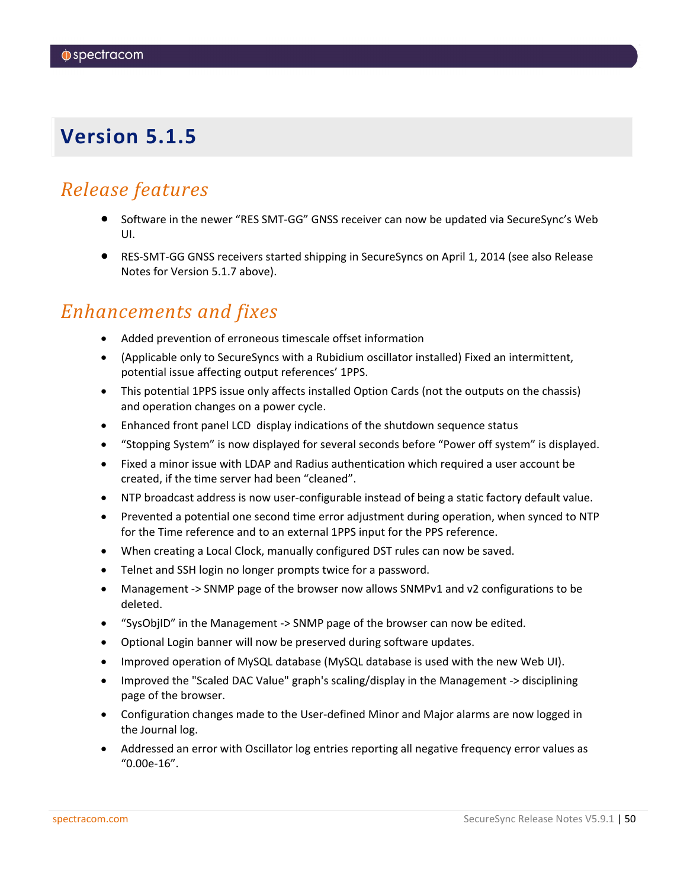### <span id="page-49-0"></span>*Release features*

- Software in the newer "RES SMT-GG" GNSS receiver can now be updated via SecureSync's Web UI.
- RES-SMT-GG GNSS receivers started shipping in SecureSyncs on April 1, 2014 (see also Release Notes for Version 5.1.7 above).

### *Enhancements and fixes*

- Added prevention of erroneous timescale offset information
- (Applicable only to SecureSyncs with a Rubidium oscillator installed) Fixed an intermittent, potential issue affecting output references' 1PPS.
- This potential 1PPS issue only affects installed Option Cards (not the outputs on the chassis) and operation changes on a power cycle.
- Enhanced front panel LCD display indications of the shutdown sequence status
- "Stopping System" is now displayed for several seconds before "Power off system" is displayed.
- Fixed a minor issue with LDAP and Radius authentication which required a user account be created, if the time server had been "cleaned".
- NTP broadcast address is now user-configurable instead of being a static factory default value.
- Prevented a potential one second time error adjustment during operation, when synced to NTP for the Time reference and to an external 1PPS input for the PPS reference.
- When creating a Local Clock, manually configured DST rules can now be saved.
- Telnet and SSH login no longer prompts twice for a password.
- Management -> SNMP page of the browser now allows SNMPv1 and v2 configurations to be deleted.
- "SysObjID" in the Management -> SNMP page of the browser can now be edited.
- Optional Login banner will now be preserved during software updates.
- Improved operation of MySQL database (MySQL database is used with the new Web UI).
- Improved the "Scaled DAC Value" graph's scaling/display in the Management -> disciplining page of the browser.
- Configuration changes made to the User-defined Minor and Major alarms are now logged in the Journal log.
- Addressed an error with Oscillator log entries reporting all negative frequency error values as "0.00e-16".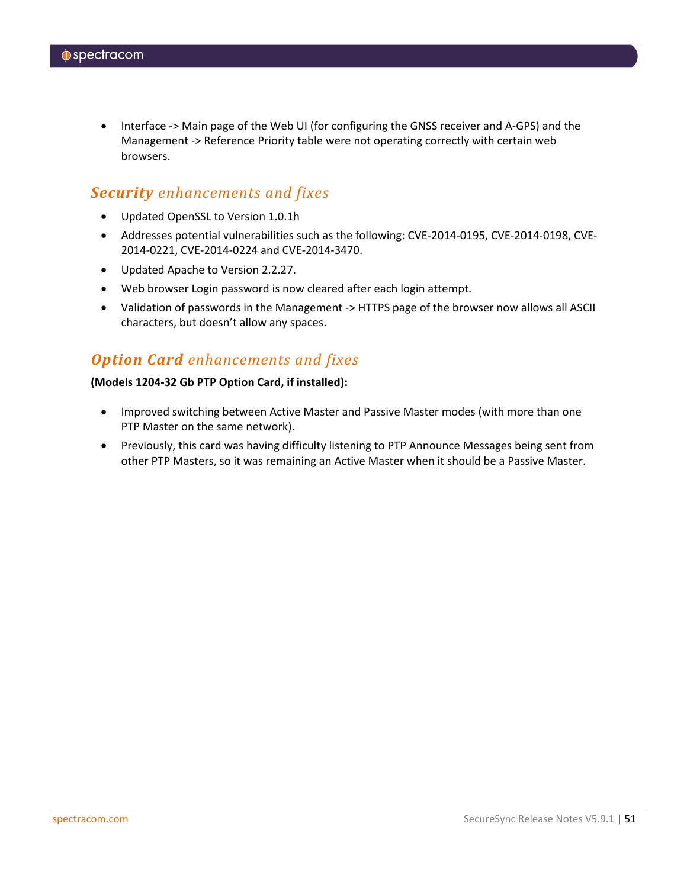• Interface -> Main page of the Web UI (for configuring the GNSS receiver and A-GPS) and the Management -> Reference Priority table were not operating correctly with certain web browsers.

#### *Security enhancements and fixes*

- Updated OpenSSL to Version 1.0.1h
- Addresses potential vulnerabilities such as the following: CVE-2014-0195, CVE-2014-0198, CVE-2014-0221, CVE-2014-0224 and CVE-2014-3470.
- Updated Apache to Version 2.2.27.
- Web browser Login password is now cleared after each login attempt.
- Validation of passwords in the Management -> HTTPS page of the browser now allows all ASCII characters, but doesn't allow any spaces.

### *Option Card enhancements and fixes*

#### **(Models 1204-32 Gb PTP Option Card, if installed):**

- Improved switching between Active Master and Passive Master modes (with more than one PTP Master on the same network).
- Previously, this card was having difficulty listening to PTP Announce Messages being sent from other PTP Masters, so it was remaining an Active Master when it should be a Passive Master.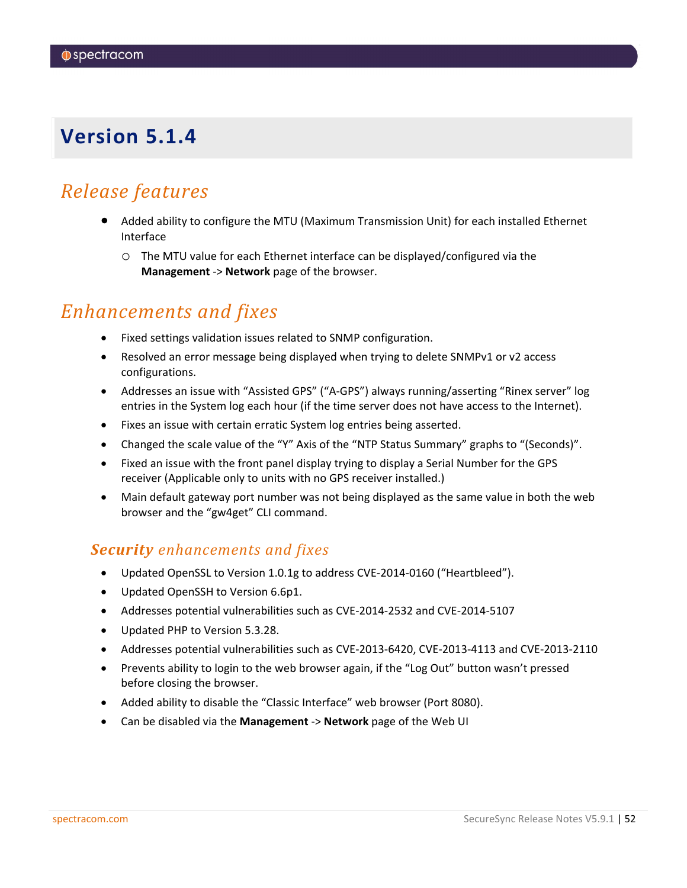### <span id="page-51-0"></span>*Release features*

- Added ability to configure the MTU (Maximum Transmission Unit) for each installed Ethernet Interface
	- o The MTU value for each Ethernet interface can be displayed/configured via the **Management** -> **Network** page of the browser.

### *Enhancements and fixes*

- Fixed settings validation issues related to SNMP configuration.
- Resolved an error message being displayed when trying to delete SNMPv1 or v2 access configurations.
- Addresses an issue with "Assisted GPS" ("A-GPS") always running/asserting "Rinex server" log entries in the System log each hour (if the time server does not have access to the Internet).
- Fixes an issue with certain erratic System log entries being asserted.
- Changed the scale value of the "Y" Axis of the "NTP Status Summary" graphs to "(Seconds)".
- Fixed an issue with the front panel display trying to display a Serial Number for the GPS receiver (Applicable only to units with no GPS receiver installed.)
- Main default gateway port number was not being displayed as the same value in both the web browser and the "gw4get" CLI command.

#### *Security enhancements and fixes*

- Updated OpenSSL to Version 1.0.1g to address CVE-2014-0160 ("Heartbleed").
- Updated OpenSSH to Version 6.6p1.
- Addresses potential vulnerabilities such as CVE-2014-2532 and CVE-2014-5107
- Updated PHP to Version 5.3.28.
- Addresses potential vulnerabilities such as CVE-2013-6420, CVE-2013-4113 and CVE-2013-2110
- Prevents ability to login to the web browser again, if the "Log Out" button wasn't pressed before closing the browser.
- Added ability to disable the "Classic Interface" web browser (Port 8080).
- Can be disabled via the **Management** -> **Network** page of the Web UI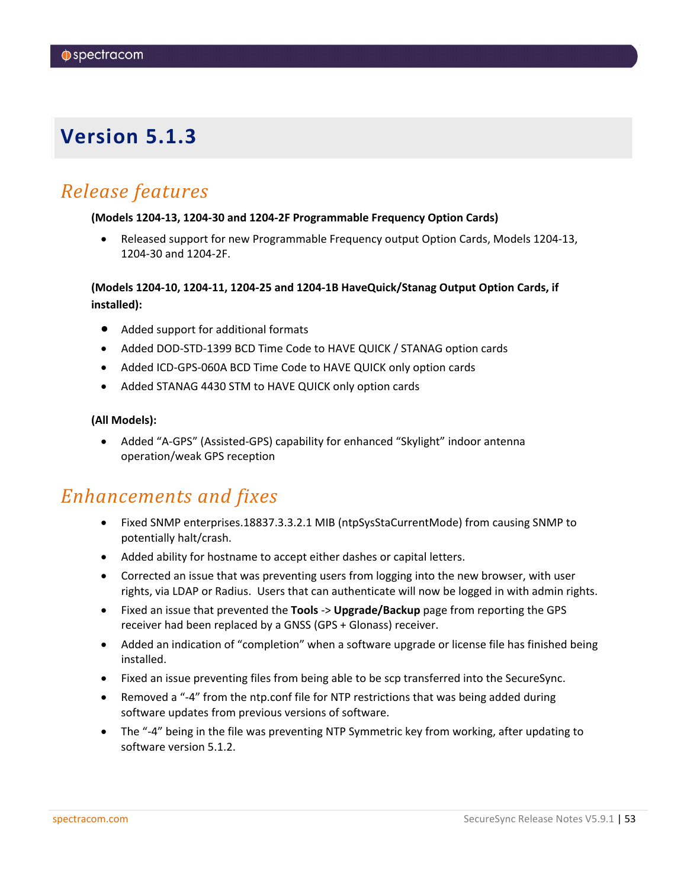### <span id="page-52-0"></span>*Release features*

#### **(Models 1204-13, 1204-30 and 1204-2F Programmable Frequency Option Cards)**

• Released support for new Programmable Frequency output Option Cards, Models 1204-13, 1204-30 and 1204-2F.

#### **(Models 1204-10, 1204-11, 1204-25 and 1204-1B HaveQuick/Stanag Output Option Cards, if installed):**

- Added support for additional formats
- Added DOD-STD-1399 BCD Time Code to HAVE QUICK / STANAG option cards
- Added ICD-GPS-060A BCD Time Code to HAVE QUICK only option cards
- Added STANAG 4430 STM to HAVE QUICK only option cards

#### **(All Models):**

• Added "A-GPS" (Assisted-GPS) capability for enhanced "Skylight" indoor antenna operation/weak GPS reception

### *Enhancements and fixes*

- Fixed SNMP enterprises.18837.3.3.2.1 MIB (ntpSysStaCurrentMode) from causing SNMP to potentially halt/crash.
- Added ability for hostname to accept either dashes or capital letters.
- Corrected an issue that was preventing users from logging into the new browser, with user rights, via LDAP or Radius. Users that can authenticate will now be logged in with admin rights.
- Fixed an issue that prevented the **Tools** -> **Upgrade/Backup** page from reporting the GPS receiver had been replaced by a GNSS (GPS + Glonass) receiver.
- Added an indication of "completion" when a software upgrade or license file has finished being installed.
- Fixed an issue preventing files from being able to be scp transferred into the SecureSync.
- Removed a "-4" from the ntp.conf file for NTP restrictions that was being added during software updates from previous versions of software.
- The "-4" being in the file was preventing NTP Symmetric key from working, after updating to software version 5.1.2.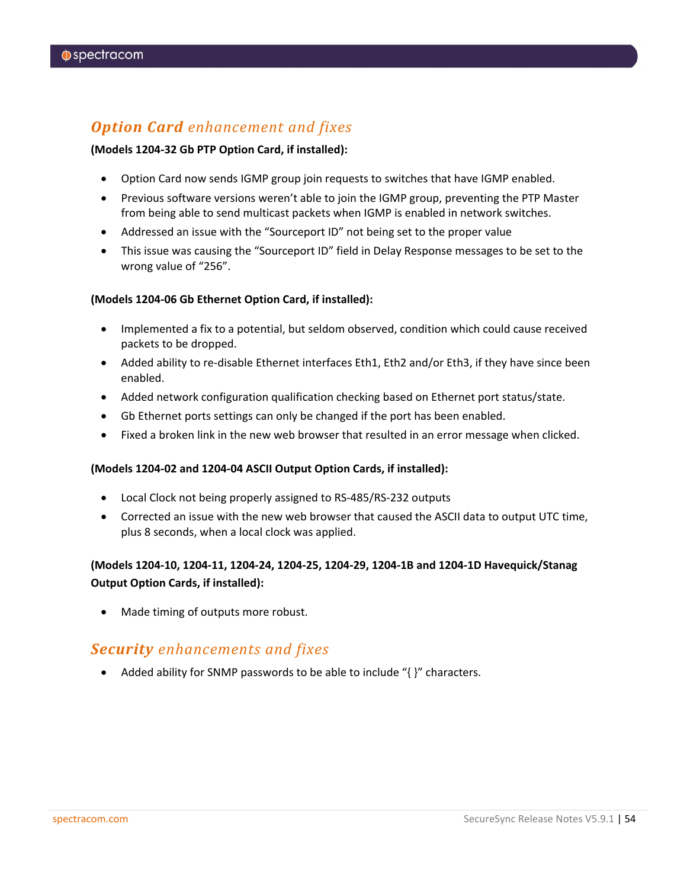### *Option Card enhancement and fixes*

#### **(Models 1204-32 Gb PTP Option Card, if installed):**

- Option Card now sends IGMP group join requests to switches that have IGMP enabled.
- Previous software versions weren't able to join the IGMP group, preventing the PTP Master from being able to send multicast packets when IGMP is enabled in network switches.
- Addressed an issue with the "Sourceport ID" not being set to the proper value
- This issue was causing the "Sourceport ID" field in Delay Response messages to be set to the wrong value of "256".

#### **(Models 1204-06 Gb Ethernet Option Card, if installed):**

- Implemented a fix to a potential, but seldom observed, condition which could cause received packets to be dropped.
- Added ability to re-disable Ethernet interfaces Eth1, Eth2 and/or Eth3, if they have since been enabled.
- Added network configuration qualification checking based on Ethernet port status/state.
- Gb Ethernet ports settings can only be changed if the port has been enabled.
- Fixed a broken link in the new web browser that resulted in an error message when clicked.

#### **(Models 1204-02 and 1204-04 ASCII Output Option Cards, if installed):**

- Local Clock not being properly assigned to RS-485/RS-232 outputs
- Corrected an issue with the new web browser that caused the ASCII data to output UTC time, plus 8 seconds, when a local clock was applied.

#### **(Models 1204-10, 1204-11, 1204-24, 1204-25, 1204-29, 1204-1B and 1204-1D Havequick/Stanag Output Option Cards, if installed):**

Made timing of outputs more robust.

### *Security enhancements and fixes*

• Added ability for SNMP passwords to be able to include "{ }" characters.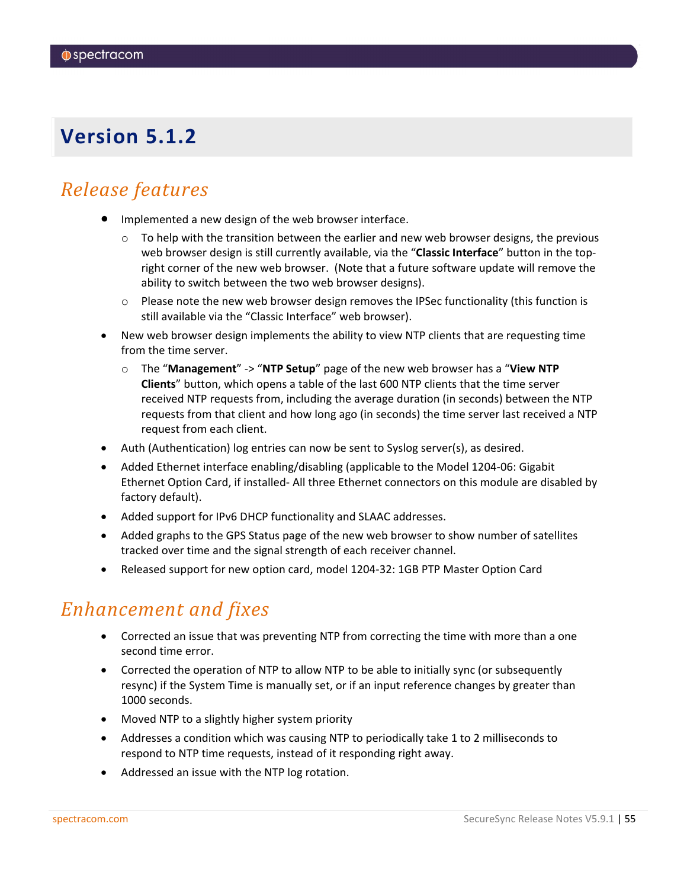## <span id="page-54-0"></span>*Release features*

- Implemented a new design of the web browser interface.
	- $\circ$  To help with the transition between the earlier and new web browser designs, the previous web browser design is still currently available, via the "**Classic Interface**" button in the topright corner of the new web browser. (Note that a future software update will remove the ability to switch between the two web browser designs).
	- $\circ$  Please note the new web browser design removes the IPSec functionality (this function is still available via the "Classic Interface" web browser).
- New web browser design implements the ability to view NTP clients that are requesting time from the time server.
	- o The "**Management**" -> "**NTP Setup**" page of the new web browser has a "**View NTP Clients**" button, which opens a table of the last 600 NTP clients that the time server received NTP requests from, including the average duration (in seconds) between the NTP requests from that client and how long ago (in seconds) the time server last received a NTP request from each client.
- Auth (Authentication) log entries can now be sent to Syslog server(s), as desired.
- Added Ethernet interface enabling/disabling (applicable to the Model 1204-06: Gigabit Ethernet Option Card, if installed- All three Ethernet connectors on this module are disabled by factory default).
- Added support for IPv6 DHCP functionality and SLAAC addresses.
- Added graphs to the GPS Status page of the new web browser to show number of satellites tracked over time and the signal strength of each receiver channel.
- Released support for new option card, model 1204-32: 1GB PTP Master Option Card

### *Enhancement and fixes*

- Corrected an issue that was preventing NTP from correcting the time with more than a one second time error.
- Corrected the operation of NTP to allow NTP to be able to initially sync (or subsequently resync) if the System Time is manually set, or if an input reference changes by greater than 1000 seconds.
- Moved NTP to a slightly higher system priority
- Addresses a condition which was causing NTP to periodically take 1 to 2 milliseconds to respond to NTP time requests, instead of it responding right away.
- Addressed an issue with the NTP log rotation.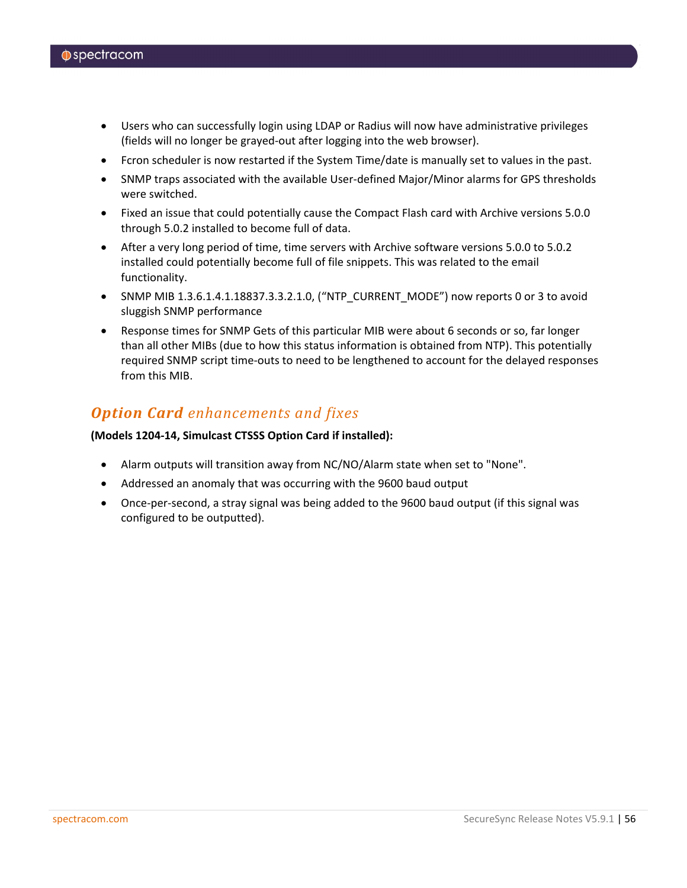- Users who can successfully login using LDAP or Radius will now have administrative privileges (fields will no longer be grayed-out after logging into the web browser).
- Fcron scheduler is now restarted if the System Time/date is manually set to values in the past.
- SNMP traps associated with the available User-defined Major/Minor alarms for GPS thresholds were switched.
- Fixed an issue that could potentially cause the Compact Flash card with Archive versions 5.0.0 through 5.0.2 installed to become full of data.
- After a very long period of time, time servers with Archive software versions 5.0.0 to 5.0.2 installed could potentially become full of file snippets. This was related to the email functionality.
- SNMP MIB 1.3.6.1.4.1.18837.3.3.2.1.0, ("NTP\_CURRENT\_MODE") now reports 0 or 3 to avoid sluggish SNMP performance
- Response times for SNMP Gets of this particular MIB were about 6 seconds or so, far longer than all other MIBs (due to how this status information is obtained from NTP). This potentially required SNMP script time-outs to need to be lengthened to account for the delayed responses from this MIB.

### *Option Card enhancements and fixes*

#### **(Models 1204-14, Simulcast CTSSS Option Card if installed):**

- Alarm outputs will transition away from NC/NO/Alarm state when set to "None".
- Addressed an anomaly that was occurring with the 9600 baud output
- Once-per-second, a stray signal was being added to the 9600 baud output (if this signal was configured to be outputted).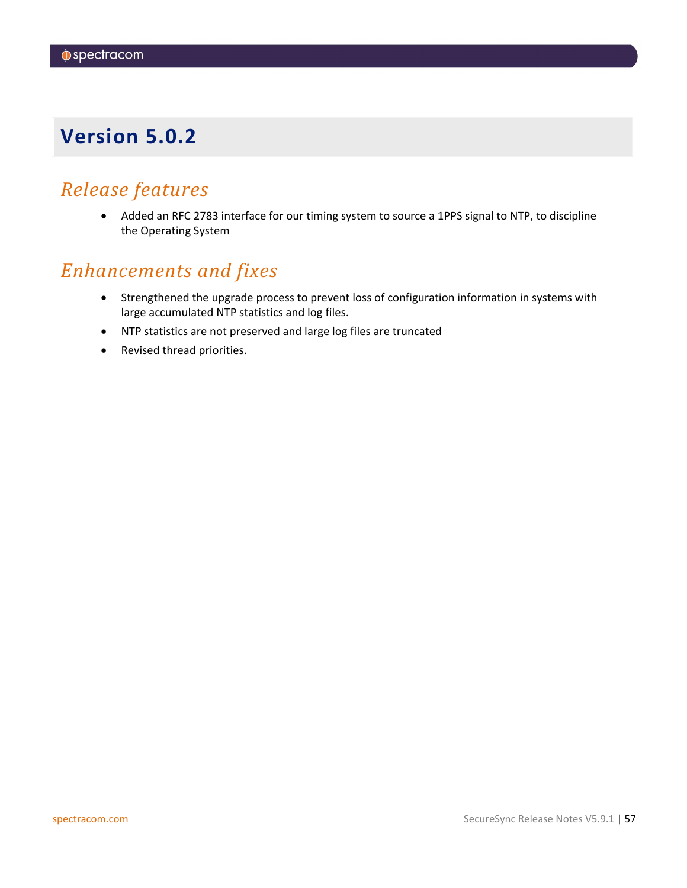### <span id="page-56-0"></span>*Release features*

• Added an RFC 2783 interface for our timing system to source a 1PPS signal to NTP, to discipline the Operating System

### *Enhancements and fixes*

- Strengthened the upgrade process to prevent loss of configuration information in systems with large accumulated NTP statistics and log files.
- NTP statistics are not preserved and large log files are truncated
- Revised thread priorities.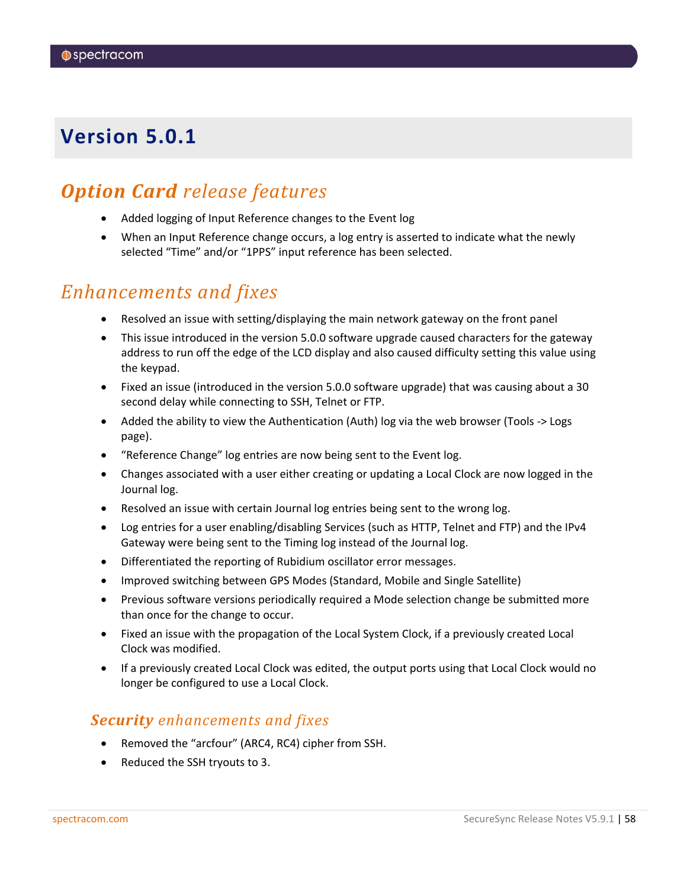## <span id="page-57-0"></span>*Option Card release features*

- Added logging of Input Reference changes to the Event log
- When an Input Reference change occurs, a log entry is asserted to indicate what the newly selected "Time" and/or "1PPS" input reference has been selected.

### *Enhancements and fixes*

- Resolved an issue with setting/displaying the main network gateway on the front panel
- This issue introduced in the version 5.0.0 software upgrade caused characters for the gateway address to run off the edge of the LCD display and also caused difficulty setting this value using the keypad.
- Fixed an issue (introduced in the version 5.0.0 software upgrade) that was causing about a 30 second delay while connecting to SSH, Telnet or FTP.
- Added the ability to view the Authentication (Auth) log via the web browser (Tools -> Logs page).
- "Reference Change" log entries are now being sent to the Event log.
- Changes associated with a user either creating or updating a Local Clock are now logged in the Journal log.
- Resolved an issue with certain Journal log entries being sent to the wrong log.
- Log entries for a user enabling/disabling Services (such as HTTP, Telnet and FTP) and the IPv4 Gateway were being sent to the Timing log instead of the Journal log.
- Differentiated the reporting of Rubidium oscillator error messages.
- Improved switching between GPS Modes (Standard, Mobile and Single Satellite)
- Previous software versions periodically required a Mode selection change be submitted more than once for the change to occur.
- Fixed an issue with the propagation of the Local System Clock, if a previously created Local Clock was modified.
- If a previously created Local Clock was edited, the output ports using that Local Clock would no longer be configured to use a Local Clock.

#### *Security enhancements and fixes*

- Removed the "arcfour" (ARC4, RC4) cipher from SSH.
- Reduced the SSH tryouts to 3.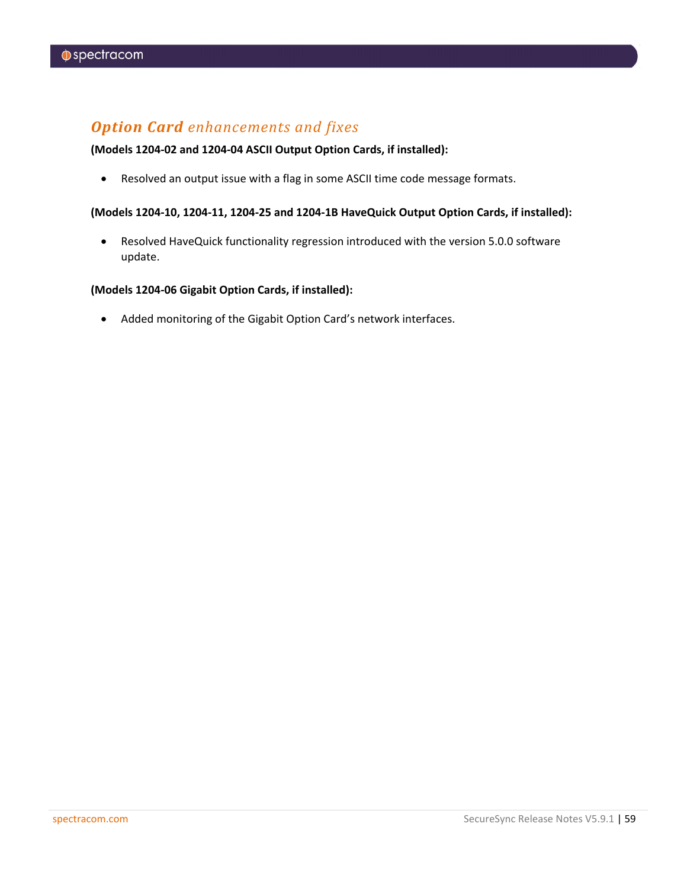### *Option Card enhancements and fixes*

#### **(Models 1204-02 and 1204-04 ASCII Output Option Cards, if installed):**

• Resolved an output issue with a flag in some ASCII time code message formats.

#### **(Models 1204-10, 1204-11, 1204-25 and 1204-1B HaveQuick Output Option Cards, if installed):**

• Resolved HaveQuick functionality regression introduced with the version 5.0.0 software update.

#### **(Models 1204-06 Gigabit Option Cards, if installed):**

• Added monitoring of the Gigabit Option Card's network interfaces.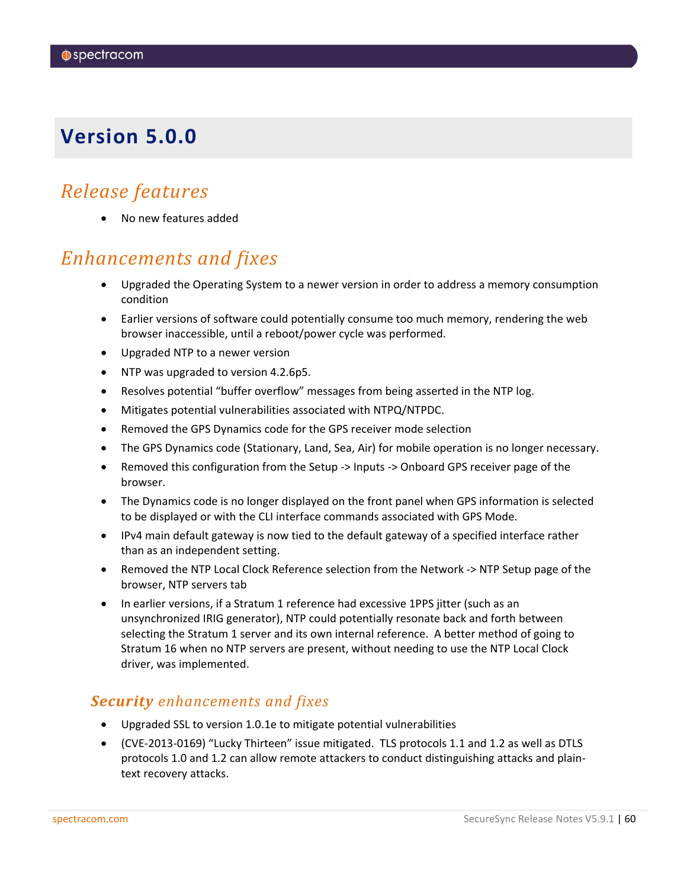## <span id="page-59-0"></span>*Release features*

• No new features added

## *Enhancements and fixes*

- Upgraded the Operating System to a newer version in order to address a memory consumption condition
- Earlier versions of software could potentially consume too much memory, rendering the web browser inaccessible, until a reboot/power cycle was performed.
- Upgraded NTP to a newer version
- NTP was upgraded to version 4.2.6p5.
- Resolves potential "buffer overflow" messages from being asserted in the NTP log.
- Mitigates potential vulnerabilities associated with NTPQ/NTPDC.
- Removed the GPS Dynamics code for the GPS receiver mode selection
- The GPS Dynamics code (Stationary, Land, Sea, Air) for mobile operation is no longer necessary.
- Removed this configuration from the Setup -> Inputs -> Onboard GPS receiver page of the browser.
- The Dynamics code is no longer displayed on the front panel when GPS information is selected to be displayed or with the CLI interface commands associated with GPS Mode.
- IPv4 main default gateway is now tied to the default gateway of a specified interface rather than as an independent setting.
- Removed the NTP Local Clock Reference selection from the Network -> NTP Setup page of the browser, NTP servers tab
- In earlier versions, if a Stratum 1 reference had excessive 1PPS jitter (such as an unsynchronized IRIG generator), NTP could potentially resonate back and forth between selecting the Stratum 1 server and its own internal reference. A better method of going to Stratum 16 when no NTP servers are present, without needing to use the NTP Local Clock driver, was implemented.

### *Security enhancements and fixes*

- Upgraded SSL to version 1.0.1e to mitigate potential vulnerabilities
- (CVE-2013-0169) "Lucky Thirteen" issue mitigated. TLS protocols 1.1 and 1.2 as well as DTLS protocols 1.0 and 1.2 can allow remote attackers to conduct distinguishing attacks and plaintext recovery attacks.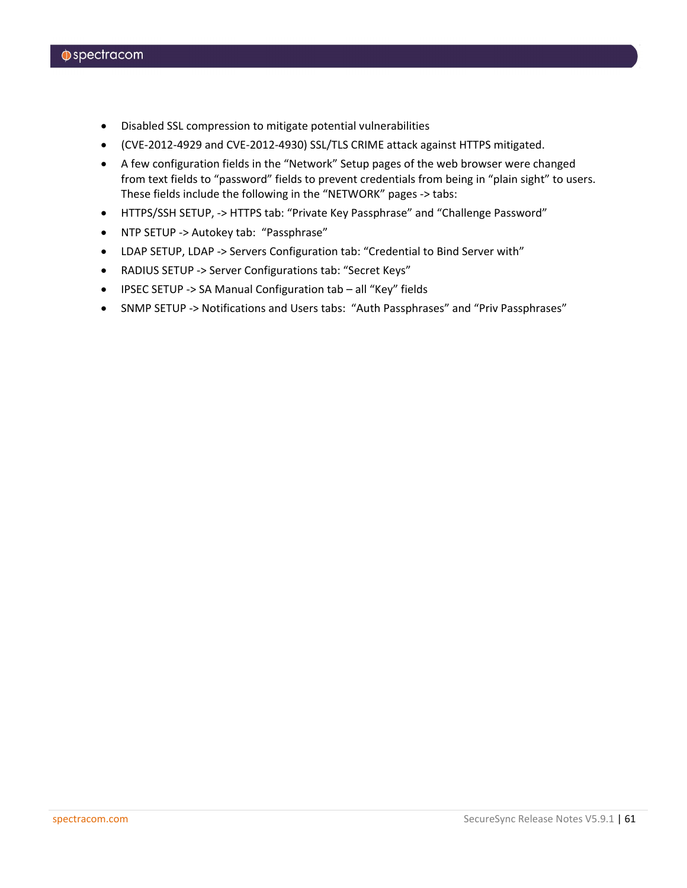- Disabled SSL compression to mitigate potential vulnerabilities
- (CVE-2012-4929 and CVE-2012-4930) SSL/TLS CRIME attack against HTTPS mitigated.
- A few configuration fields in the "Network" Setup pages of the web browser were changed from text fields to "password" fields to prevent credentials from being in "plain sight" to users. These fields include the following in the "NETWORK" pages -> tabs:
- HTTPS/SSH SETUP, -> HTTPS tab: "Private Key Passphrase" and "Challenge Password"
- NTP SETUP -> Autokey tab: "Passphrase"
- LDAP SETUP, LDAP -> Servers Configuration tab: "Credential to Bind Server with"
- RADIUS SETUP -> Server Configurations tab: "Secret Keys"
- IPSEC SETUP -> SA Manual Configuration tab all "Key" fields
- SNMP SETUP -> Notifications and Users tabs: "Auth Passphrases" and "Priv Passphrases"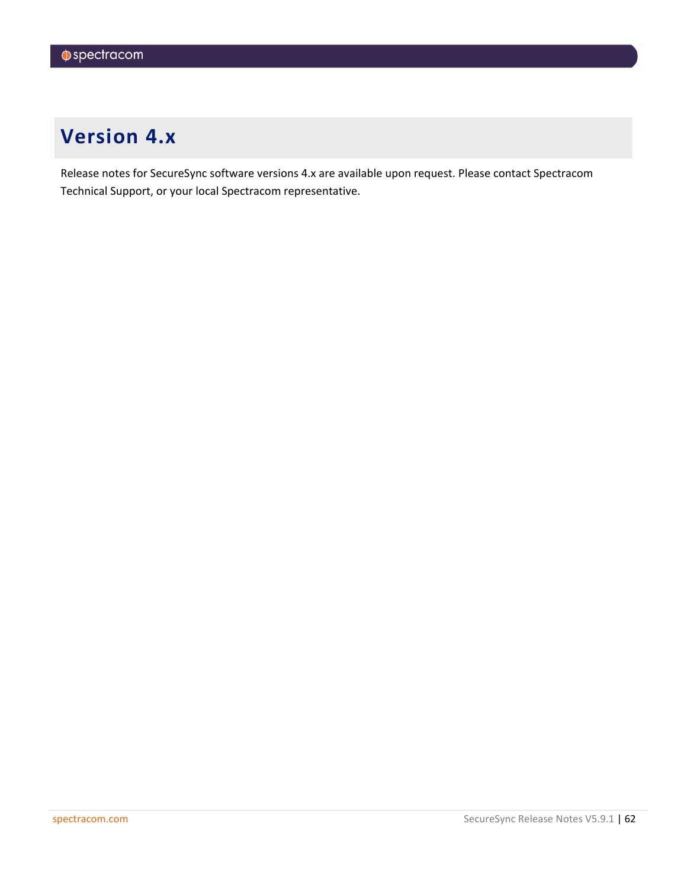# <span id="page-61-0"></span>**Version 4.x**

Release notes for SecureSync software versions 4.x are available upon request. Please contact Spectracom Technical Support, or your local Spectracom representative.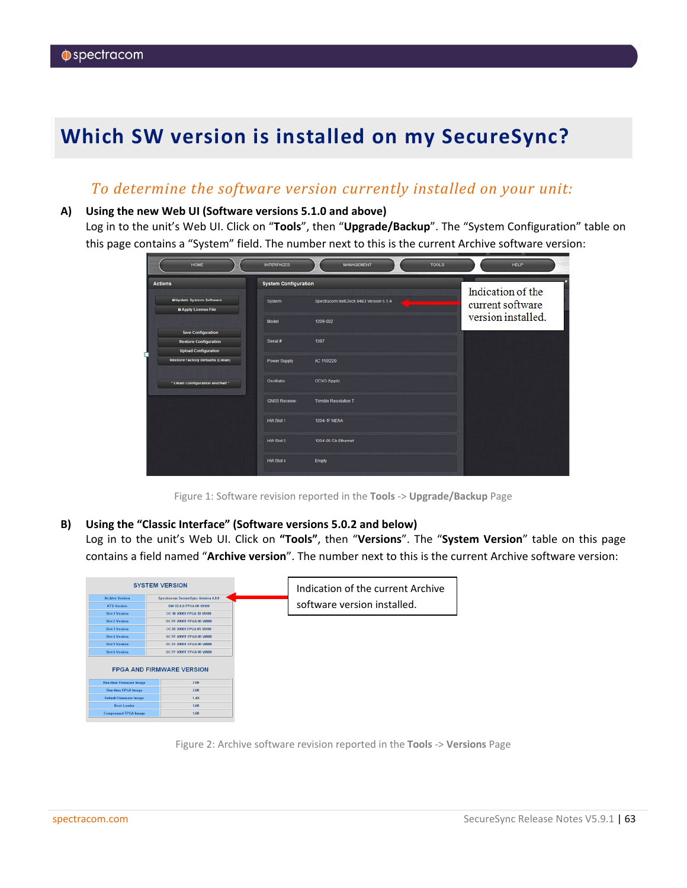# <span id="page-62-0"></span>**Which SW version is installed on my SecureSync?**

### *To determine the software version currently installed on your unit:*

#### **A) Using the new Web UI (Software versions 5.1.0 and above)**

Log in to the unit's Web UI. Click on "**Tools**", then "**Upgrade/Backup**". The "System Configuration" table on this page contains a "System" field. The number next to this is the current Archive software version:

| HOME                                                           | <b>INTERFACES</b>           | <b>MANAGEMENT</b>                      | <b>TOOLS</b><br><b>HELP</b> |
|----------------------------------------------------------------|-----------------------------|----------------------------------------|-----------------------------|
| <b>Actions</b>                                                 | <b>System Configuration</b> |                                        | Indication of the           |
| <b>B</b> Update System Software<br><b>B</b> Apply License File | System                      | Spectracom NetClock 9483 Version 5.1.4 | current software            |
| <b>Save Configuration</b>                                      | Model                       | 1209-002                               | version installed.          |
| <b>Restore Configuration</b><br><b>Upload Configuration</b>    | Serial #                    | 1397                                   |                             |
| <b>Restore Factory Defaults (Clean)</b>                        | Power Supply                | AC 110/220                             |                             |
| * Clean Configuration and Halt*                                | Oscillator                  | OCXO (5ppb)                            |                             |
|                                                                | <b>GNSS Receiver</b>        | <b>Trimble Resolution T</b>            |                             |
|                                                                | HW Slot 1                   | <b>1204-1F NENA</b>                    |                             |
|                                                                | HW Slot 2                   | 1204-06 Gb Ethernet                    |                             |
|                                                                | HW Slot 4                   | Empty                                  |                             |

Figure 1: Software revision reported in the **Tools** -> **Upgrade/Backup** Page

#### **B) Using the "Classic Interface" (Software versions 5.0.2 and below)**

Log in to the unit's Web UI. Click on **"Tools"**, then "**Versions**". The "**System Version**" table on this page contains a field named "**Archive version**". The number next to this is the current Archive software version:

|                                | <b>SYSTEM VERSION</b>                      | Indication of the current Archive |
|--------------------------------|--------------------------------------------|-----------------------------------|
| <b>Archive Version</b>         | <b>Spectracom SecureSync Version 4.0.0</b> |                                   |
| <b>KTS</b> Version             | SW V2.0.0 FPGA 00 V0100                    | software version installed.       |
| <b>Slot 1 Version</b>          | OC 10 V0001 FPGA 10 V0100                  |                                   |
| <b>Slot 2 Version</b>          | OC FF V00FF FPGA 00 V0000                  |                                   |
| <b>Slot 3 Version</b>          | OC 05 V0001 FPGA 05 V0100                  |                                   |
| Slot 4 Version                 | OC FF V00FF FPGA 00 V0000                  |                                   |
| <b>Slot 5 Version</b>          | OC FF V00FF FPGA 00 V0000                  |                                   |
| <b>Slot 6 Version</b>          | OC FF V00FF FPGA 00 V0000                  |                                   |
|                                | <b>FPGA AND FIRMWARE VERSION</b>           |                                   |
| <b>Run-time Firmware Image</b> | 2.00                                       |                                   |
| <b>Run-time FPGA Image</b>     | 2.00                                       |                                   |
| <b>Default Firmware Image</b>  | 1.4A                                       |                                   |
| <b>Boot Loader</b>             | 1.00                                       |                                   |
| <b>Compressed FPGA Image</b>   | 1.00                                       |                                   |
|                                |                                            |                                   |

Figure 2: Archive software revision reported in the **Tools** -> **Versions** Page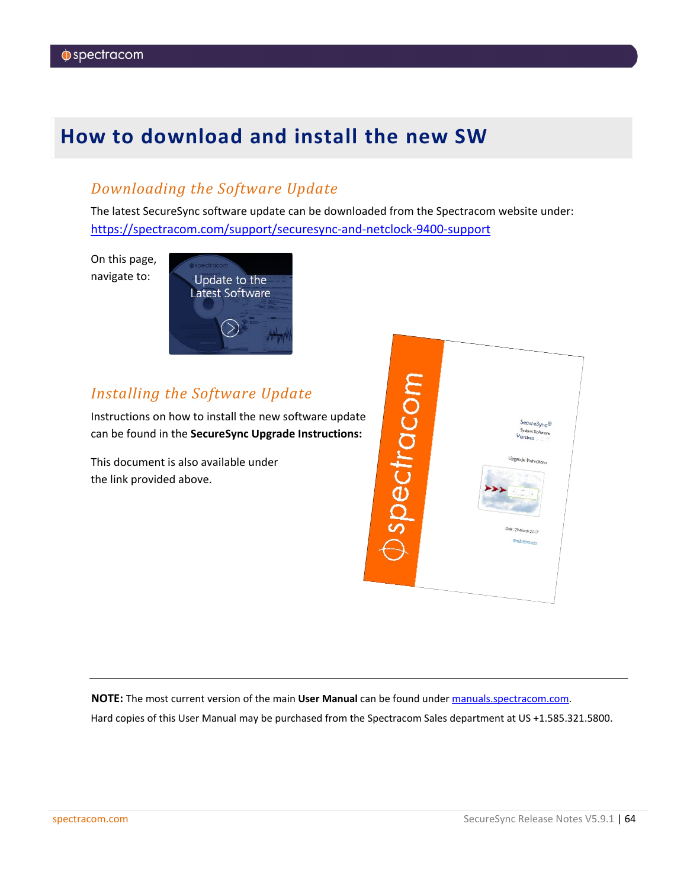## <span id="page-63-0"></span>**How to download and install the new SW**

### *Downloading the Software Update*

The latest SecureSync software update can be downloaded from the Spectracom website under: <https://spectracom.com/support/securesync-and-netclock-9400-support>

On this page, navigate to:



### *Installing the Software Update*

Instructions on how to install the new software update can be found in the **SecureSync Upgrade Instructions:**

This document is also available under the link provided above.



**NOTE:** The most current version of the main **User Manual** can be found under [manuals.spectracom.com.](http://manuals.spectracom.com/) Hard copies of this User Manual may be purchased from the Spectracom Sales department at US +1.585.321.5800.